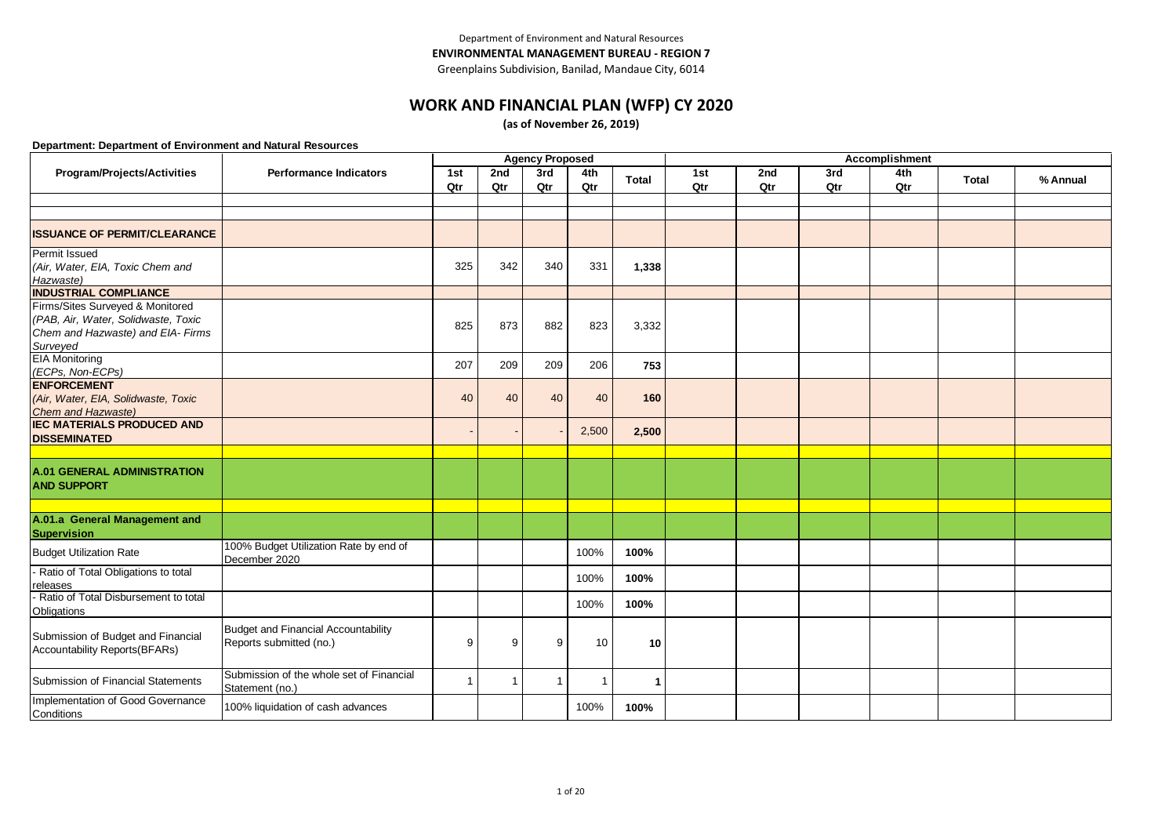# **WORK AND FINANCIAL PLAN (WFP) CY 2020**

**(as of November 26, 2019)**

|                                                                                                                          |                                                                       |            |              | <b>Agency Proposed</b> |            |              |            |            |            | <b>Accomplishment</b> |       |          |
|--------------------------------------------------------------------------------------------------------------------------|-----------------------------------------------------------------------|------------|--------------|------------------------|------------|--------------|------------|------------|------------|-----------------------|-------|----------|
| Program/Projects/Activities                                                                                              | <b>Performance Indicators</b>                                         | 1st<br>Qtr | 2nd<br>Qtr   | 3rd<br>Qtr             | 4th<br>Qtr | <b>Total</b> | 1st<br>Qtr | 2nd<br>Qtr | 3rd<br>Qtr | 4th<br>Qtr            | Total | % Annual |
|                                                                                                                          |                                                                       |            |              |                        |            |              |            |            |            |                       |       |          |
|                                                                                                                          |                                                                       |            |              |                        |            |              |            |            |            |                       |       |          |
| <b>ISSUANCE OF PERMIT/CLEARANCE</b>                                                                                      |                                                                       |            |              |                        |            |              |            |            |            |                       |       |          |
| Permit Issued<br>(Air, Water, EIA, Toxic Chem and<br>Hazwaste)                                                           |                                                                       | 325        | 342          | 340                    | 331        | 1,338        |            |            |            |                       |       |          |
| <b>INDUSTRIAL COMPLIANCE</b>                                                                                             |                                                                       |            |              |                        |            |              |            |            |            |                       |       |          |
| Firms/Sites Surveyed & Monitored<br>(PAB, Air, Water, Solidwaste, Toxic<br>Chem and Hazwaste) and EIA- Firms<br>Surveyed |                                                                       | 825        | 873          | 882                    | 823        | 3,332        |            |            |            |                       |       |          |
| <b>EIA Monitoring</b><br>(ECPs, Non-ECPs)                                                                                |                                                                       | 207        | 209          | 209                    | 206        | 753          |            |            |            |                       |       |          |
| <b>ENFORCEMENT</b><br>(Air, Water, EIA, Solidwaste, Toxic<br>Chem and Hazwaste)                                          |                                                                       | 40         | 40           | 40                     | 40         | 160          |            |            |            |                       |       |          |
| <b>IEC MATERIALS PRODUCED AND</b><br><b>DISSEMINATED</b>                                                                 |                                                                       |            |              |                        | 2,500      | 2,500        |            |            |            |                       |       |          |
|                                                                                                                          |                                                                       |            |              |                        |            |              |            |            |            |                       |       |          |
| <b>A.01 GENERAL ADMINISTRATION</b><br><b>AND SUPPORT</b>                                                                 |                                                                       |            |              |                        |            |              |            |            |            |                       |       |          |
|                                                                                                                          |                                                                       |            |              |                        |            |              |            |            |            |                       |       |          |
| A.01.a General Management and<br>Supervision                                                                             |                                                                       |            |              |                        |            |              |            |            |            |                       |       |          |
| <b>Budget Utilization Rate</b>                                                                                           | 100% Budget Utilization Rate by end of<br>December 2020               |            |              |                        | 100%       | 100%         |            |            |            |                       |       |          |
| - Ratio of Total Obligations to total<br>releases                                                                        |                                                                       |            |              |                        | 100%       | 100%         |            |            |            |                       |       |          |
| - Ratio of Total Disbursement to total<br>Obligations                                                                    |                                                                       |            |              |                        | 100%       | 100%         |            |            |            |                       |       |          |
| Submission of Budget and Financial<br>Accountability Reports(BFARs)                                                      | <b>Budget and Financial Accountability</b><br>Reports submitted (no.) | 9          | 9            | 9                      | 10         | 10           |            |            |            |                       |       |          |
| Submission of Financial Statements                                                                                       | Submission of the whole set of Financial<br>Statement (no.)           | 1          | $\mathbf{1}$ | $\overline{1}$         | -1         |              |            |            |            |                       |       |          |
| Implementation of Good Governance<br>Conditions                                                                          | 100% liquidation of cash advances                                     |            |              |                        | 100%       | 100%         |            |            |            |                       |       |          |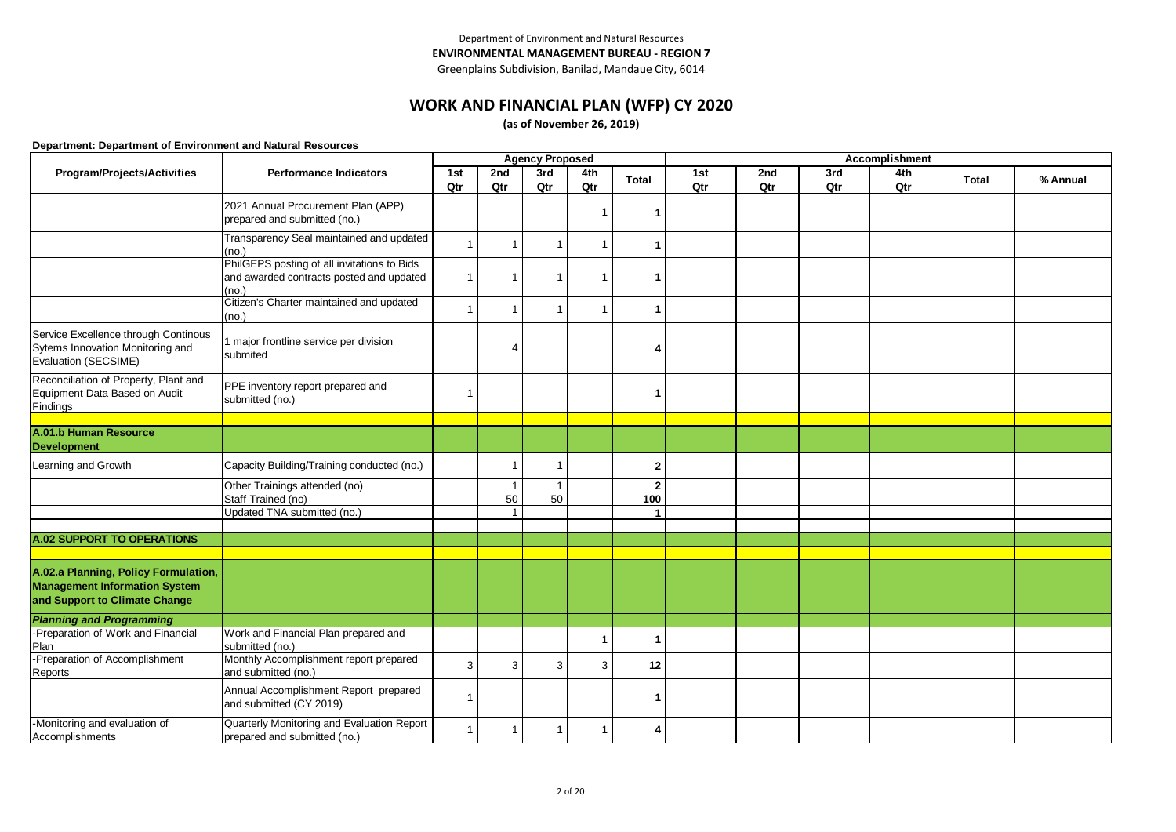# **WORK AND FINANCIAL PLAN (WFP) CY 2020**

**(as of November 26, 2019)**

|                                                                              |                                                                                         |              |                | <b>Agency Proposed</b>  |                         |                |     |     |     | Accomplishment |              |          |
|------------------------------------------------------------------------------|-----------------------------------------------------------------------------------------|--------------|----------------|-------------------------|-------------------------|----------------|-----|-----|-----|----------------|--------------|----------|
| Program/Projects/Activities                                                  | <b>Performance Indicators</b>                                                           | 1st          | 2nd            | 3rd                     | 4th                     | <b>Total</b>   | 1st | 2nd | 3rd | 4th            | <b>Total</b> | % Annual |
|                                                                              |                                                                                         | Qtr          | Qtr            | Qtr                     | Qtr                     |                | Qtr | Qtr | Qtr | Qtr            |              |          |
|                                                                              | 2021 Annual Procurement Plan (APP)                                                      |              |                |                         | -1                      |                |     |     |     |                |              |          |
|                                                                              | prepared and submitted (no.)                                                            |              |                |                         |                         |                |     |     |     |                |              |          |
|                                                                              | Transparency Seal maintained and updated                                                | $\mathbf{1}$ | -1             | $\overline{1}$          | -1                      | 1              |     |     |     |                |              |          |
|                                                                              | (no.)                                                                                   |              |                |                         |                         |                |     |     |     |                |              |          |
|                                                                              | PhilGEPS posting of all invitations to Bids<br>and awarded contracts posted and updated | $\mathbf{1}$ | -1             | $\overline{1}$          | $\overline{\mathbf{1}}$ | 1              |     |     |     |                |              |          |
|                                                                              | (no.)                                                                                   |              |                |                         |                         |                |     |     |     |                |              |          |
|                                                                              | Citizen's Charter maintained and updated                                                |              |                |                         | $\overline{1}$          |                |     |     |     |                |              |          |
|                                                                              | (no.)                                                                                   | $\mathbf{1}$ | -1             | $\overline{1}$          |                         | 1              |     |     |     |                |              |          |
| Service Excellence through Continous                                         |                                                                                         |              |                |                         |                         |                |     |     |     |                |              |          |
| Sytems Innovation Monitoring and                                             | 1 major frontline service per division<br>submited                                      |              | $\overline{4}$ |                         |                         | 4              |     |     |     |                |              |          |
| Evaluation (SECSIME)                                                         |                                                                                         |              |                |                         |                         |                |     |     |     |                |              |          |
| Reconciliation of Property, Plant and                                        | PPE inventory report prepared and                                                       |              |                |                         |                         |                |     |     |     |                |              |          |
| Equipment Data Based on Audit                                                | submitted (no.)                                                                         | 1            |                |                         |                         | 1              |     |     |     |                |              |          |
| Findings                                                                     |                                                                                         |              |                |                         |                         |                |     |     |     |                |              |          |
| A.01.b Human Resource                                                        |                                                                                         |              |                |                         |                         |                |     |     |     |                |              |          |
| <b>Development</b>                                                           |                                                                                         |              |                |                         |                         |                |     |     |     |                |              |          |
| Learning and Growth                                                          | Capacity Building/Training conducted (no.)                                              |              | -1             | $\overline{\mathbf{1}}$ |                         | $\mathbf{2}$   |     |     |     |                |              |          |
|                                                                              | Other Trainings attended (no)                                                           |              | $\overline{1}$ | $\overline{1}$          |                         | $\overline{2}$ |     |     |     |                |              |          |
|                                                                              | Staff Trained (no)                                                                      |              | 50             | 50                      |                         | 100            |     |     |     |                |              |          |
|                                                                              | Updated TNA submitted (no.)                                                             |              | $\mathbf{1}$   |                         |                         | $\mathbf{1}$   |     |     |     |                |              |          |
| <b>A.02 SUPPORT TO OPERATIONS</b>                                            |                                                                                         |              |                |                         |                         |                |     |     |     |                |              |          |
|                                                                              |                                                                                         |              |                |                         |                         |                |     |     |     |                |              |          |
|                                                                              |                                                                                         |              |                |                         |                         |                |     |     |     |                |              |          |
| A.02.a Planning, Policy Formulation,<br><b>Management Information System</b> |                                                                                         |              |                |                         |                         |                |     |     |     |                |              |          |
| and Support to Climate Change                                                |                                                                                         |              |                |                         |                         |                |     |     |     |                |              |          |
|                                                                              |                                                                                         |              |                |                         |                         |                |     |     |     |                |              |          |
| <b>Planning and Programming</b><br>-Preparation of Work and Financial        | Work and Financial Plan prepared and                                                    |              |                |                         |                         |                |     |     |     |                |              |          |
| Plan                                                                         | submitted (no.)                                                                         |              |                |                         | 1                       |                |     |     |     |                |              |          |
| -Preparation of Accomplishment                                               | Monthly Accomplishment report prepared                                                  | 3            | 3              | 3                       | 3                       | 12             |     |     |     |                |              |          |
| Reports                                                                      | and submitted (no.)                                                                     |              |                |                         |                         |                |     |     |     |                |              |          |
|                                                                              | Annual Accomplishment Report prepared<br>and submitted (CY 2019)                        | $\mathbf{1}$ |                |                         |                         |                |     |     |     |                |              |          |
| -Monitoring and evaluation of<br>Accomplishments                             | Quarterly Monitoring and Evaluation Report<br>prepared and submitted (no.)              | $\mathbf{1}$ | -1             | -1                      | -1                      | 4              |     |     |     |                |              |          |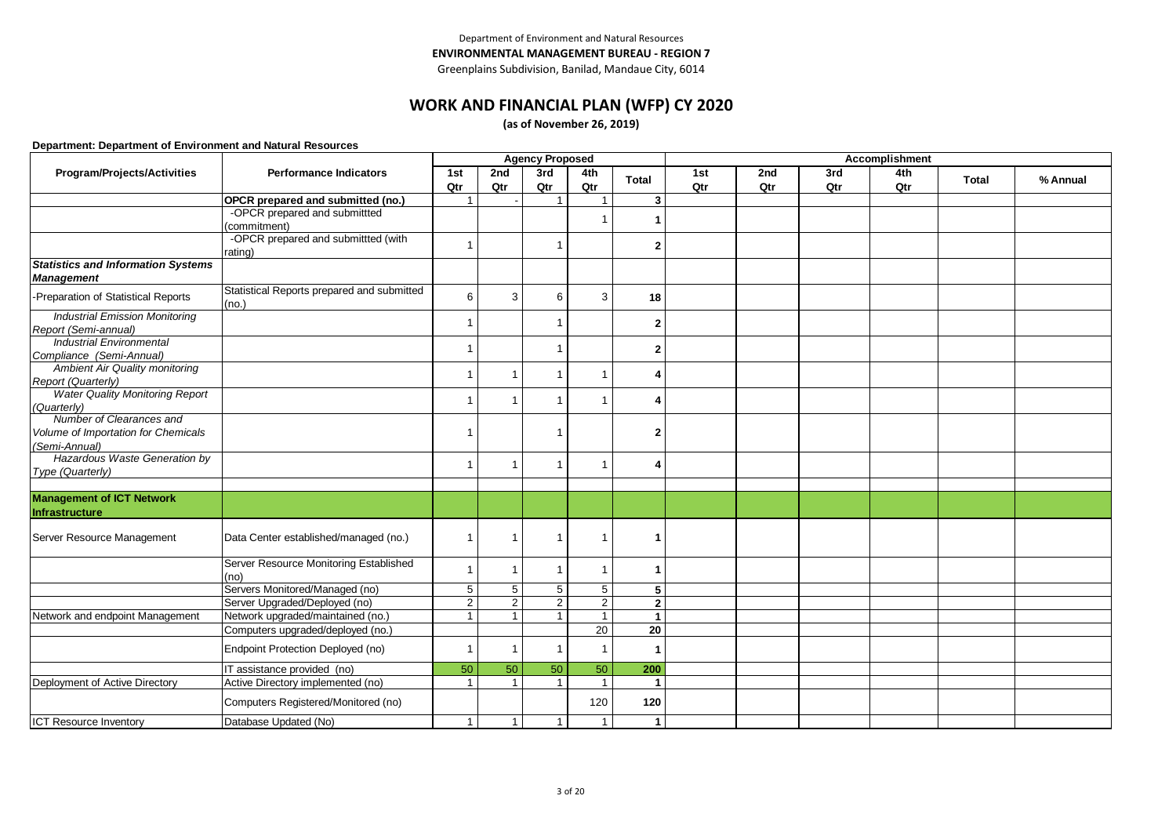Greenplains Subdivision, Banilad, Mandaue City, 6014

## **WORK AND FINANCIAL PLAN (WFP) CY 2020**

**(as of November 26, 2019)**

|                                           |                                                     |                |                | <b>Agency Proposed</b>  |                         |                 |     |     |     | Accomplishment |              |          |
|-------------------------------------------|-----------------------------------------------------|----------------|----------------|-------------------------|-------------------------|-----------------|-----|-----|-----|----------------|--------------|----------|
| Program/Projects/Activities               | <b>Performance Indicators</b>                       | 1st            | 2nd            | 3rd                     | 4th                     | <b>Total</b>    | 1st | 2nd | 3rd | 4th            | <b>Total</b> | % Annual |
|                                           |                                                     | Qtr            | Qtr            | Qtr                     | Qtr                     |                 | Qtr | Qtr | Qtr | Qtr            |              |          |
|                                           | OPCR prepared and submitted (no.)                   |                |                |                         |                         | 3               |     |     |     |                |              |          |
|                                           | -OPCR prepared and submittted                       |                |                |                         | -1                      |                 |     |     |     |                |              |          |
|                                           | (commitment)                                        |                |                |                         |                         |                 |     |     |     |                |              |          |
|                                           | -OPCR prepared and submittted (with                 | $\mathbf{1}$   |                | $\overline{1}$          |                         | $\mathbf{2}$    |     |     |     |                |              |          |
|                                           | rating)                                             |                |                |                         |                         |                 |     |     |     |                |              |          |
| <b>Statistics and Information Systems</b> |                                                     |                |                |                         |                         |                 |     |     |     |                |              |          |
| <b>Management</b>                         |                                                     |                |                |                         |                         |                 |     |     |     |                |              |          |
| -Preparation of Statistical Reports       | Statistical Reports prepared and submitted<br>(no.) | 6              | 3              | 6                       | 3                       | 18              |     |     |     |                |              |          |
| <b>Industrial Emission Monitoring</b>     |                                                     |                |                |                         |                         |                 |     |     |     |                |              |          |
| Report (Semi-annual)                      |                                                     | $\overline{1}$ |                | $\overline{1}$          |                         | $\mathbf{2}$    |     |     |     |                |              |          |
| <b>Industrial Environmental</b>           |                                                     |                |                |                         |                         |                 |     |     |     |                |              |          |
| Compliance (Semi-Annual)                  |                                                     | 1              |                | $\overline{\mathbf{1}}$ |                         | $\mathbf{2}$    |     |     |     |                |              |          |
| <b>Ambient Air Quality monitoring</b>     |                                                     |                |                |                         |                         |                 |     |     |     |                |              |          |
| Report (Quarterly)                        |                                                     | $\mathbf{1}$   | 1              | $\overline{1}$          | $\overline{\mathbf{1}}$ | 4               |     |     |     |                |              |          |
| <b>Water Quality Monitoring Report</b>    |                                                     | 1              |                |                         | -1                      |                 |     |     |     |                |              |          |
| (Quarterly)                               |                                                     |                | 1              | $\overline{\mathbf{1}}$ |                         | 4               |     |     |     |                |              |          |
| Number of Clearances and                  |                                                     |                |                |                         |                         |                 |     |     |     |                |              |          |
| Volume of Importation for Chemicals       |                                                     |                |                | -1                      |                         | 2               |     |     |     |                |              |          |
| (Semi-Annual)                             |                                                     |                |                |                         |                         |                 |     |     |     |                |              |          |
| Hazardous Waste Generation by             |                                                     |                | 1              |                         | -1                      | 4               |     |     |     |                |              |          |
| Type (Quarterly)                          |                                                     |                |                |                         |                         |                 |     |     |     |                |              |          |
|                                           |                                                     |                |                |                         |                         |                 |     |     |     |                |              |          |
| <b>Management of ICT Network</b>          |                                                     |                |                |                         |                         |                 |     |     |     |                |              |          |
| Infrastructure                            |                                                     |                |                |                         |                         |                 |     |     |     |                |              |          |
|                                           |                                                     |                |                |                         |                         |                 |     |     |     |                |              |          |
| Server Resource Management                | Data Center established/managed (no.)               | $\mathbf{1}$   | $\overline{1}$ | $\mathbf{1}$            | -1                      | 1               |     |     |     |                |              |          |
|                                           |                                                     |                |                |                         |                         |                 |     |     |     |                |              |          |
|                                           | Server Resource Monitoring Established              | $\mathbf{1}$   | $\overline{1}$ | $\overline{1}$          | $\overline{1}$          | 1               |     |     |     |                |              |          |
|                                           | (no)                                                |                |                |                         |                         |                 |     |     |     |                |              |          |
|                                           | Servers Monitored/Managed (no)                      | $\,$ 5 $\,$    | 5              | 5                       | 5                       | 5               |     |     |     |                |              |          |
|                                           | Server Upgraded/Deployed (no)                       | $\overline{2}$ | 2              | 2                       | $\overline{2}$          | $\overline{2}$  |     |     |     |                |              |          |
| Network and endpoint Management           | Network upgraded/maintained (no.)                   | $\mathbf{1}$   | $\mathbf{1}$   | $\overline{\mathbf{1}}$ | $\overline{1}$          | $\mathbf{1}$    |     |     |     |                |              |          |
|                                           | Computers upgraded/deployed (no.)                   |                |                |                         | $\overline{20}$         | $\overline{20}$ |     |     |     |                |              |          |
|                                           | Endpoint Protection Deployed (no)                   | 1              | 1              | $\overline{\mathbf{1}}$ | $\overline{1}$          | -1              |     |     |     |                |              |          |
|                                           | IT assistance provided (no)                         | 50             | 50             | 50                      | 50                      | 200             |     |     |     |                |              |          |
| Deployment of Active Directory            | Active Directory implemented (no)                   | $\mathbf{1}$   | $\mathbf{1}$   | $\overline{1}$          | $\overline{1}$          | $\mathbf{1}$    |     |     |     |                |              |          |
|                                           |                                                     |                |                |                         |                         |                 |     |     |     |                |              |          |
|                                           | Computers Registered/Monitored (no)                 |                |                |                         | 120                     | 120             |     |     |     |                |              |          |
| <b>ICT Resource Inventory</b>             | Database Updated (No)                               | $\overline{1}$ | $\mathbf{1}$   | $\mathbf{1}$            | $\mathbf{1}$            | $\mathbf{1}$    |     |     |     |                |              |          |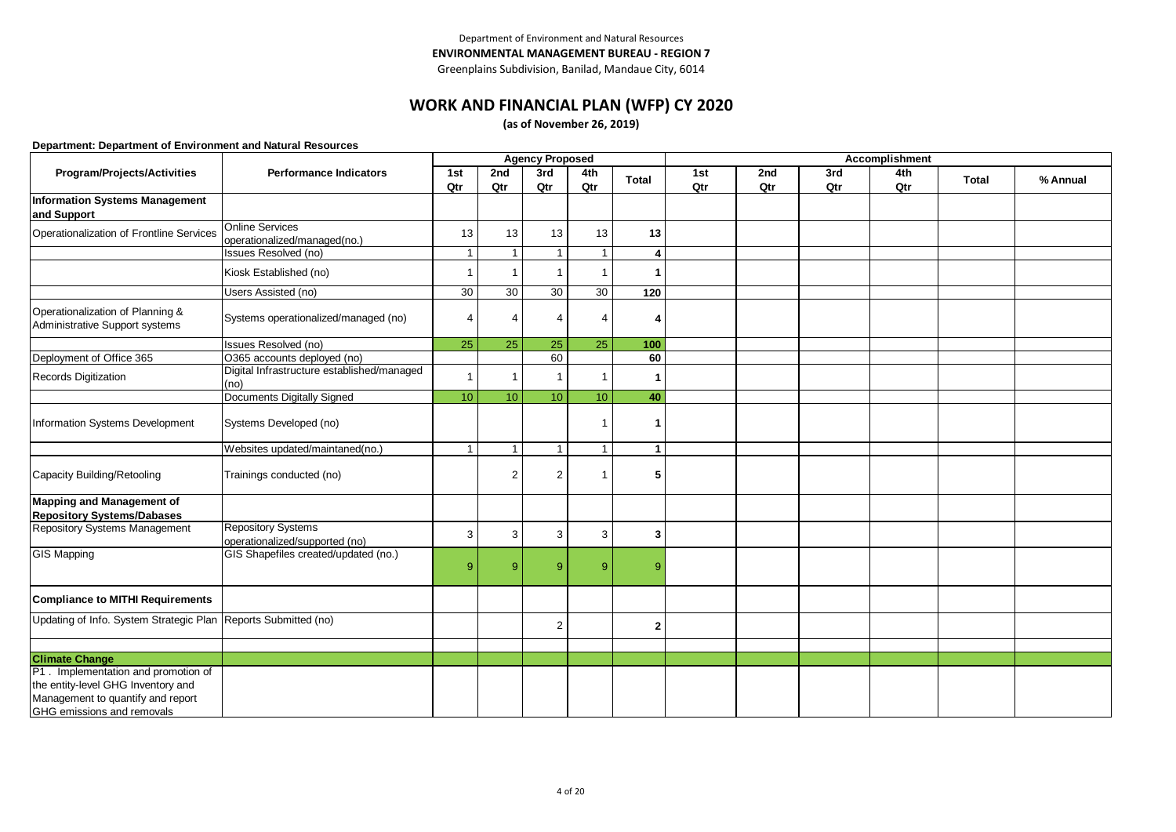# **WORK AND FINANCIAL PLAN (WFP) CY 2020**

**(as of November 26, 2019)**

|                                                                                                                                               |                                                             |                 |                | <b>Agency Proposed</b>  |                |              |     |     |     | Accomplishment |              |          |
|-----------------------------------------------------------------------------------------------------------------------------------------------|-------------------------------------------------------------|-----------------|----------------|-------------------------|----------------|--------------|-----|-----|-----|----------------|--------------|----------|
| Program/Projects/Activities                                                                                                                   | <b>Performance Indicators</b>                               | 1st             | 2nd            | 3rd                     | 4th            | <b>Total</b> | 1st | 2nd | 3rd | 4th            | <b>Total</b> | % Annual |
|                                                                                                                                               |                                                             | Qtr             | Qtr            | Qtr                     | Qtr            |              | Qtr | Qtr | Qtr | Qtr            |              |          |
| <b>Information Systems Management</b><br>and Support                                                                                          |                                                             |                 |                |                         |                |              |     |     |     |                |              |          |
| Operationalization of Frontline Services                                                                                                      | <b>Online Services</b><br>operationalized/managed(no.)      | 13              | 13             | 13                      | 13             | 13           |     |     |     |                |              |          |
|                                                                                                                                               | Issues Resolved (no)                                        | $\mathbf{1}$    |                | $\overline{1}$          | $\overline{1}$ | 4            |     |     |     |                |              |          |
|                                                                                                                                               | Kiosk Established (no)                                      | $\mathbf{1}$    | 1              | $\overline{\mathbf{1}}$ | $\overline{1}$ |              |     |     |     |                |              |          |
|                                                                                                                                               | Users Assisted (no)                                         | 30              | 30             | 30                      | 30             | 120          |     |     |     |                |              |          |
| Operationalization of Planning &<br>Administrative Support systems                                                                            | Systems operationalized/managed (no)                        | 4               | $\overline{4}$ | $\overline{4}$          | 4              | 4            |     |     |     |                |              |          |
|                                                                                                                                               | Issues Resolved (no)                                        | 25              | 25             | 25                      | 25             | 100          |     |     |     |                |              |          |
| Deployment of Office 365                                                                                                                      | O365 accounts deployed (no)                                 |                 |                | 60                      |                | 60           |     |     |     |                |              |          |
| Records Digitization                                                                                                                          | Digital Infrastructure established/managed<br>(no)          | $\overline{1}$  |                | -1                      | -1             |              |     |     |     |                |              |          |
|                                                                                                                                               | Documents Digitally Signed                                  | 10 <sup>°</sup> | 10             | 10                      | 10             | 40           |     |     |     |                |              |          |
| Information Systems Development                                                                                                               | Systems Developed (no)                                      |                 |                |                         | $\overline{1}$ | 1            |     |     |     |                |              |          |
|                                                                                                                                               | Websites updated/maintaned(no.)                             | $\mathbf{1}$    | 1              | $\overline{1}$          | $\mathbf{1}$   | $\mathbf{1}$ |     |     |     |                |              |          |
| Capacity Building/Retooling                                                                                                                   | Trainings conducted (no)                                    |                 | $\overline{2}$ | $\overline{2}$          | -1             | 5            |     |     |     |                |              |          |
| Mapping and Management of<br><b>Repository Systems/Dabases</b>                                                                                |                                                             |                 |                |                         |                |              |     |     |     |                |              |          |
| Repository Systems Management                                                                                                                 | <b>Repository Systems</b><br>operationalized/supported (no) | 3               | 3              | 3                       | 3              | 3            |     |     |     |                |              |          |
| <b>GIS Mapping</b>                                                                                                                            | GIS Shapefiles created/updated (no.)                        | 9 <sup>°</sup>  | 9              | 9                       | 9              | g            |     |     |     |                |              |          |
| <b>Compliance to MITHI Requirements</b>                                                                                                       |                                                             |                 |                |                         |                |              |     |     |     |                |              |          |
| Updating of Info. System Strategic Plan Reports Submitted (no)                                                                                |                                                             |                 |                | $\overline{2}$          |                | $\mathbf{2}$ |     |     |     |                |              |          |
|                                                                                                                                               |                                                             |                 |                |                         |                |              |     |     |     |                |              |          |
| <b>Climate Change</b>                                                                                                                         |                                                             |                 |                |                         |                |              |     |     |     |                |              |          |
| P1 . Implementation and promotion of<br>the entity-level GHG Inventory and<br>Management to quantify and report<br>GHG emissions and removals |                                                             |                 |                |                         |                |              |     |     |     |                |              |          |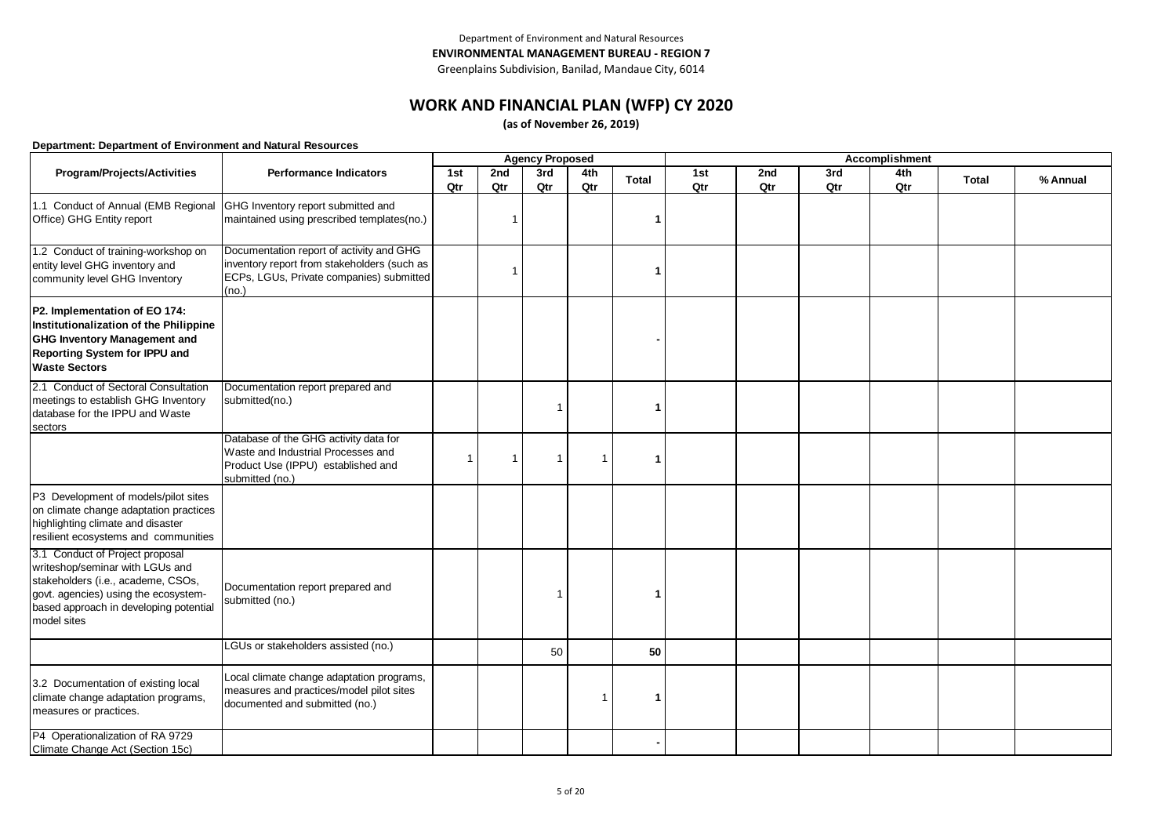# **WORK AND FINANCIAL PLAN (WFP) CY 2020**

**(as of November 26, 2019)**

|                                                                                                                                                                                                           | <b>Agency Proposed</b>                                                                                                                       |                          |                         |                |     |       |     | Accomplishment |     |     |              |          |
|-----------------------------------------------------------------------------------------------------------------------------------------------------------------------------------------------------------|----------------------------------------------------------------------------------------------------------------------------------------------|--------------------------|-------------------------|----------------|-----|-------|-----|----------------|-----|-----|--------------|----------|
| Program/Projects/Activities                                                                                                                                                                               | <b>Performance Indicators</b>                                                                                                                | 1st                      | 2nd                     | 3rd            | 4th | Total | 1st | 2nd            | 3rd | 4th | <b>Total</b> | % Annual |
|                                                                                                                                                                                                           |                                                                                                                                              | Qtr                      | Qtr                     | Qtr            | Qtr |       | Qtr | Qtr            | Qtr | Qtr |              |          |
| 1.1 Conduct of Annual (EMB Regional<br>Office) GHG Entity report                                                                                                                                          | GHG Inventory report submitted and<br>maintained using prescribed templates(no.)                                                             |                          | $\overline{\mathbf{1}}$ |                |     | 1     |     |                |     |     |              |          |
| 1.2 Conduct of training-workshop on<br>entity level GHG inventory and<br>community level GHG Inventory                                                                                                    | Documentation report of activity and GHG<br>inventory report from stakeholders (such as<br>ECPs, LGUs, Private companies) submitted<br>(no.) |                          | $\overline{1}$          |                |     | 1     |     |                |     |     |              |          |
| P2. Implementation of EO 174:<br>Institutionalization of the Philippine<br><b>GHG Inventory Management and</b><br>Reporting System for IPPU and<br><b>Waste Sectors</b>                                   |                                                                                                                                              |                          |                         |                |     |       |     |                |     |     |              |          |
| 2.1 Conduct of Sectoral Consultation<br>meetings to establish GHG Inventory<br>database for the IPPU and Waste<br>sectors                                                                                 | Documentation report prepared and<br>submitted(no.)                                                                                          |                          |                         | $\overline{1}$ |     | 1     |     |                |     |     |              |          |
|                                                                                                                                                                                                           | Database of the GHG activity data for<br>Waste and Industrial Processes and<br>Product Use (IPPU) established and<br>submitted (no.)         | $\overline{\phantom{a}}$ | $\mathbf{1}$            | $\overline{1}$ |     | 1     |     |                |     |     |              |          |
| P3 Development of models/pilot sites<br>on climate change adaptation practices<br>highlighting climate and disaster<br>resilient ecosystems and communities                                               |                                                                                                                                              |                          |                         |                |     |       |     |                |     |     |              |          |
| 3.1 Conduct of Project proposal<br>writeshop/seminar with LGUs and<br>stakeholders (i.e., academe, CSOs,<br>govt. agencies) using the ecosystem-<br>based approach in developing potential<br>model sites | Documentation report prepared and<br>submitted (no.)                                                                                         |                          |                         | -1             |     | 1     |     |                |     |     |              |          |
|                                                                                                                                                                                                           | LGUs or stakeholders assisted (no.)                                                                                                          |                          |                         | 50             |     | 50    |     |                |     |     |              |          |
| 3.2 Documentation of existing local<br>climate change adaptation programs,<br>measures or practices.                                                                                                      | Local climate change adaptation programs,<br>measures and practices/model pilot sites<br>documented and submitted (no.)                      |                          |                         |                |     | 1     |     |                |     |     |              |          |
| P4 Operationalization of RA 9729<br>Climate Change Act (Section 15c)                                                                                                                                      |                                                                                                                                              |                          |                         |                |     |       |     |                |     |     |              |          |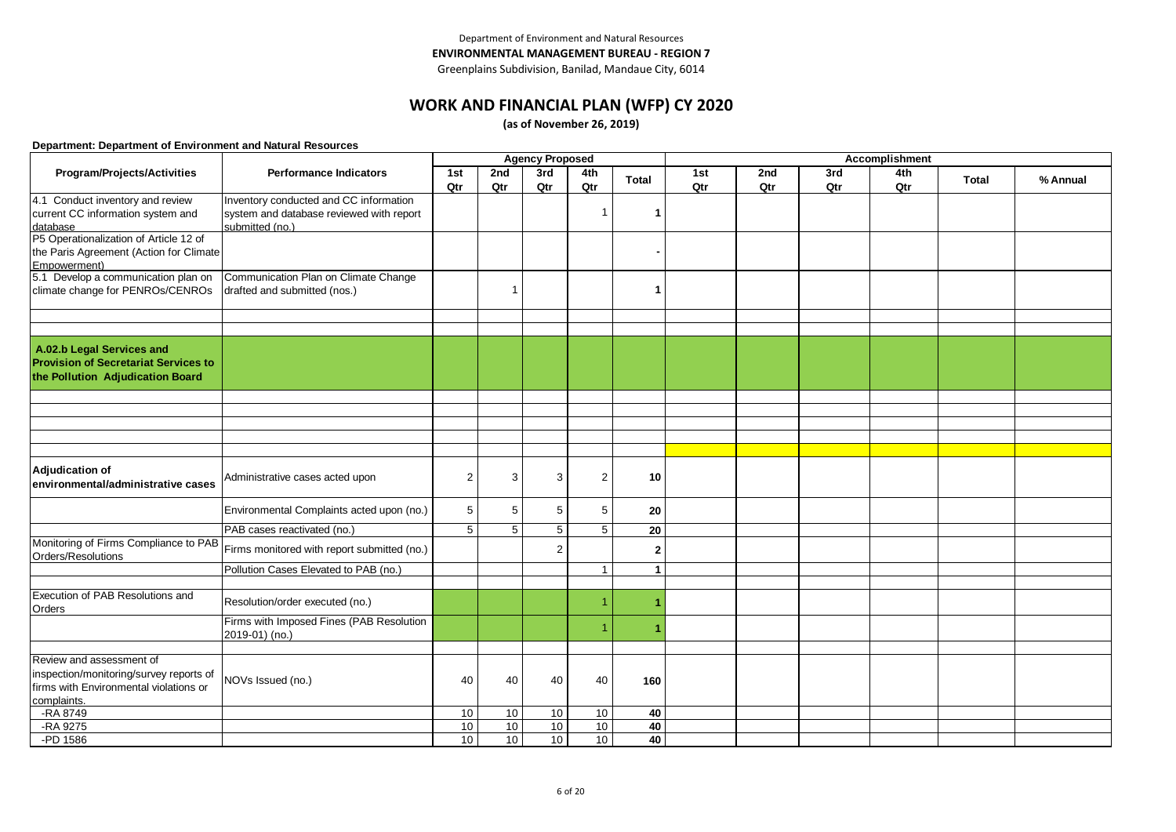Greenplains Subdivision, Banilad, Mandaue City, 6014

## **WORK AND FINANCIAL PLAN (WFP) CY 2020**

**(as of November 26, 2019)**

|                                                       |                                             | <b>Agency Proposed</b> |          |                |              |              |     |     | Accomplishment |     |              |          |
|-------------------------------------------------------|---------------------------------------------|------------------------|----------|----------------|--------------|--------------|-----|-----|----------------|-----|--------------|----------|
| Program/Projects/Activities                           | <b>Performance Indicators</b>               | 1st                    | 2nd      | 3rd            | 4th          | Total        | 1st | 2nd | 3rd            | 4th | <b>Total</b> | % Annual |
|                                                       |                                             | Qtr                    | Qtr      | Qtr            | Qtr          |              | Qtr | Qtr | Qtr            | Qtr |              |          |
| 4.1 Conduct inventory and review                      | Inventory conducted and CC information      |                        |          |                |              |              |     |     |                |     |              |          |
| current CC information system and                     | system and database reviewed with report    |                        |          |                | -1           |              |     |     |                |     |              |          |
| database                                              | submitted (no.)                             |                        |          |                |              |              |     |     |                |     |              |          |
| P5 Operationalization of Article 12 of                |                                             |                        |          |                |              |              |     |     |                |     |              |          |
| the Paris Agreement (Action for Climate               |                                             |                        |          |                |              |              |     |     |                |     |              |          |
| Empowerment)                                          |                                             |                        |          |                |              |              |     |     |                |     |              |          |
| 5.1 Develop a communication plan on                   | Communication Plan on Climate Change        |                        | -1       |                |              |              |     |     |                |     |              |          |
| climate change for PENROs/CENROs                      | drafted and submitted (nos.)                |                        |          |                |              | 1            |     |     |                |     |              |          |
|                                                       |                                             |                        |          |                |              |              |     |     |                |     |              |          |
|                                                       |                                             |                        |          |                |              |              |     |     |                |     |              |          |
| A.02.b Legal Services and                             |                                             |                        |          |                |              |              |     |     |                |     |              |          |
| <b>Provision of Secretariat Services to</b>           |                                             |                        |          |                |              |              |     |     |                |     |              |          |
| the Pollution Adjudication Board                      |                                             |                        |          |                |              |              |     |     |                |     |              |          |
|                                                       |                                             |                        |          |                |              |              |     |     |                |     |              |          |
|                                                       |                                             |                        |          |                |              |              |     |     |                |     |              |          |
|                                                       |                                             |                        |          |                |              |              |     |     |                |     |              |          |
|                                                       |                                             |                        |          |                |              |              |     |     |                |     |              |          |
|                                                       |                                             |                        |          |                |              |              |     |     |                |     |              |          |
|                                                       |                                             |                        |          |                |              |              |     |     |                |     |              |          |
| Adjudication of<br>environmental/administrative cases | Administrative cases acted upon             | 2                      | 3        | 3              | 2            | 10           |     |     |                |     |              |          |
|                                                       |                                             |                        |          |                |              |              |     |     |                |     |              |          |
|                                                       | Environmental Complaints acted upon (no.)   | 5                      | 5        | 5              | 5            | 20           |     |     |                |     |              |          |
|                                                       | PAB cases reactivated (no.)                 | $\overline{5}$         | 5        | 5              | 5            | 20           |     |     |                |     |              |          |
| Monitoring of Firms Compliance to PAB                 |                                             |                        |          |                |              |              |     |     |                |     |              |          |
| Orders/Resolutions                                    | Firms monitored with report submitted (no.) |                        |          | $\overline{2}$ |              | $\mathbf{2}$ |     |     |                |     |              |          |
|                                                       | Pollution Cases Elevated to PAB (no.)       |                        |          |                | $\mathbf{1}$ | $\mathbf{1}$ |     |     |                |     |              |          |
|                                                       |                                             |                        |          |                |              |              |     |     |                |     |              |          |
| Execution of PAB Resolutions and<br>Orders            | Resolution/order executed (no.)             |                        |          |                |              |              |     |     |                |     |              |          |
|                                                       | Firms with Imposed Fines (PAB Resolution    |                        |          |                |              |              |     |     |                |     |              |          |
|                                                       | 2019-01) (no.)                              |                        |          |                |              |              |     |     |                |     |              |          |
|                                                       |                                             |                        |          |                |              |              |     |     |                |     |              |          |
| Review and assessment of                              |                                             |                        |          |                |              |              |     |     |                |     |              |          |
| inspection/monitoring/survey reports of               | NOVs Issued (no.)                           | 40                     | 40       | 40             | 40           | 160          |     |     |                |     |              |          |
| firms with Environmental violations or                |                                             |                        |          |                |              |              |     |     |                |     |              |          |
| complaints.<br>-RA 8749                               |                                             |                        |          | 10             |              |              |     |     |                |     |              |          |
| -RA 9275                                              |                                             | 10<br>10               | 10<br>10 | 10             | 10<br>10     | 40<br>40     |     |     |                |     |              |          |
| -PD 1586                                              |                                             | 10                     | 10       | 10             | 10           |              |     |     |                |     |              |          |
|                                                       |                                             |                        |          |                |              | 40           |     |     |                |     |              |          |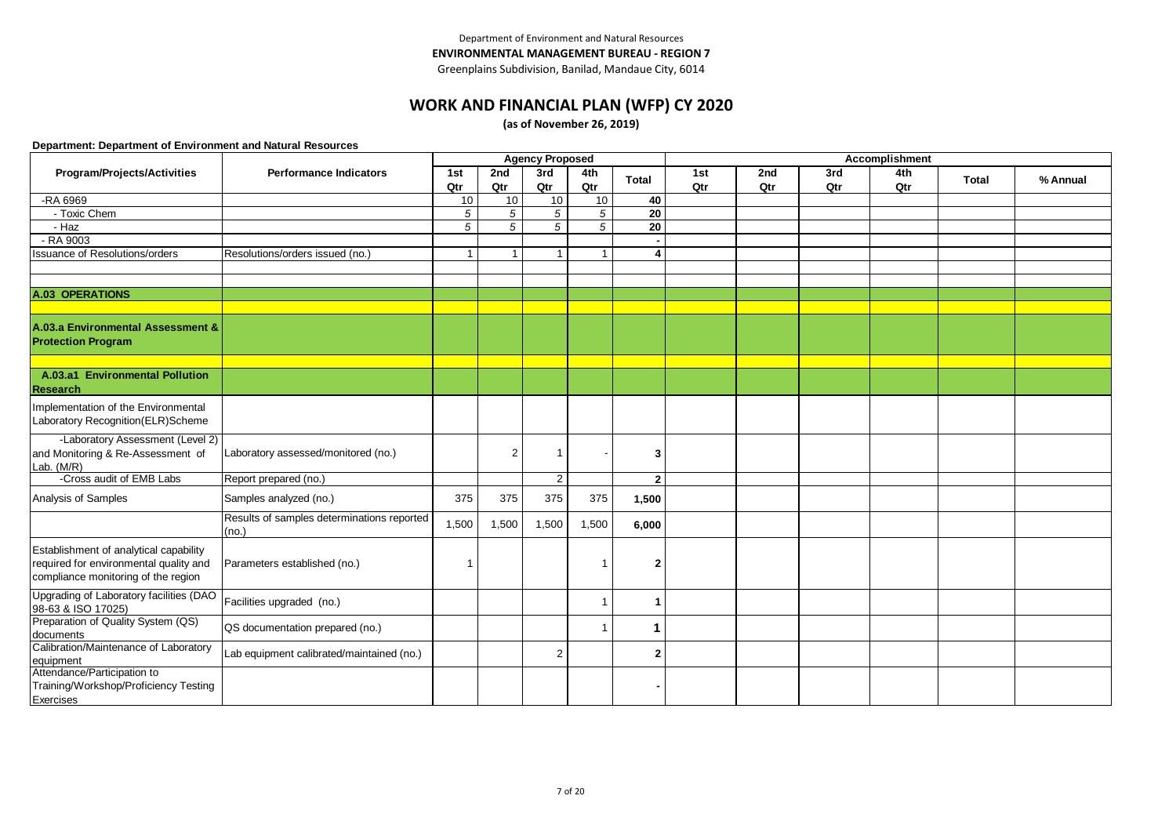# **WORK AND FINANCIAL PLAN (WFP) CY 2020**

**(as of November 26, 2019)**

|                                                                                                                         |                                                     |                |                | <b>Agency Proposed</b> |                |                 |            |            |            | <b>Accomplishment</b> |              |          |
|-------------------------------------------------------------------------------------------------------------------------|-----------------------------------------------------|----------------|----------------|------------------------|----------------|-----------------|------------|------------|------------|-----------------------|--------------|----------|
| Program/Projects/Activities                                                                                             | <b>Performance Indicators</b>                       | 1st<br>Qtr     | 2nd<br>Qtr     | 3rd<br>Qtr             | 4th<br>Qtr     | <b>Total</b>    | 1st<br>Qtr | 2nd<br>Qtr | 3rd<br>Qtr | 4th<br>Qtr            | <b>Total</b> | % Annual |
| -RA 6969                                                                                                                |                                                     | 10             | 10             | 10                     | 10             | 40              |            |            |            |                       |              |          |
| - Toxic Chem                                                                                                            |                                                     | 5              | $\sqrt{5}$     | 5                      | 5              | 20              |            |            |            |                       |              |          |
| $-Haz$                                                                                                                  |                                                     | $\overline{5}$ | $\overline{5}$ | $\overline{5}$         | $\overline{5}$ | $\overline{20}$ |            |            |            |                       |              |          |
| $-RA$ 9003                                                                                                              |                                                     |                |                |                        |                |                 |            |            |            |                       |              |          |
| <b>Issuance of Resolutions/orders</b>                                                                                   | Resolutions/orders issued (no.)                     |                | 1              | $\overline{1}$         | $\mathbf 1$    |                 |            |            |            |                       |              |          |
|                                                                                                                         |                                                     |                |                |                        |                |                 |            |            |            |                       |              |          |
|                                                                                                                         |                                                     |                |                |                        |                |                 |            |            |            |                       |              |          |
| A.03 OPERATIONS                                                                                                         |                                                     |                |                |                        |                |                 |            |            |            |                       |              |          |
|                                                                                                                         |                                                     |                |                |                        |                |                 |            |            |            |                       |              |          |
| A.03.a Environmental Assessment &<br><b>Protection Program</b>                                                          |                                                     |                |                |                        |                |                 |            |            |            |                       |              |          |
|                                                                                                                         |                                                     |                |                |                        |                |                 |            |            |            |                       |              |          |
| A.03.a1 Environmental Pollution<br><b>Research</b>                                                                      |                                                     |                |                |                        |                |                 |            |            |            |                       |              |          |
| Implementation of the Environmental<br>Laboratory Recognition(ELR)Scheme                                                |                                                     |                |                |                        |                |                 |            |            |            |                       |              |          |
| -Laboratory Assessment (Level 2)<br>and Monitoring & Re-Assessment of<br>Lab. $(M/R)$                                   | Laboratory assessed/monitored (no.)                 |                | $\overline{2}$ | $\overline{1}$         |                | з               |            |            |            |                       |              |          |
| -Cross audit of EMB Labs                                                                                                | Report prepared (no.)                               |                |                | 2                      |                | $\overline{2}$  |            |            |            |                       |              |          |
| Analysis of Samples                                                                                                     | Samples analyzed (no.)                              | 375            | 375            | 375                    | 375            | 1,500           |            |            |            |                       |              |          |
|                                                                                                                         | Results of samples determinations reported<br>(no.) | 1,500          | 1,500          | 1,500                  | 1,500          | 6,000           |            |            |            |                       |              |          |
| Establishment of analytical capability<br>required for environmental quality and<br>compliance monitoring of the region | Parameters established (no.)                        |                |                |                        | -1             | 2               |            |            |            |                       |              |          |
| Upgrading of Laboratory facilities (DAO<br>98-63 & ISO 17025)                                                           | Facilities upgraded (no.)                           |                |                |                        | $\mathbf 1$    |                 |            |            |            |                       |              |          |
| Preparation of Quality System (QS)<br>documents                                                                         | QS documentation prepared (no.)                     |                |                |                        |                |                 |            |            |            |                       |              |          |
| Calibration/Maintenance of Laboratory<br>equipment                                                                      | Lab equipment calibrated/maintained (no.)           |                |                | $\overline{2}$         |                | $\overline{2}$  |            |            |            |                       |              |          |
| Attendance/Participation to<br>Training/Workshop/Proficiency Testing<br>Exercises                                       |                                                     |                |                |                        |                |                 |            |            |            |                       |              |          |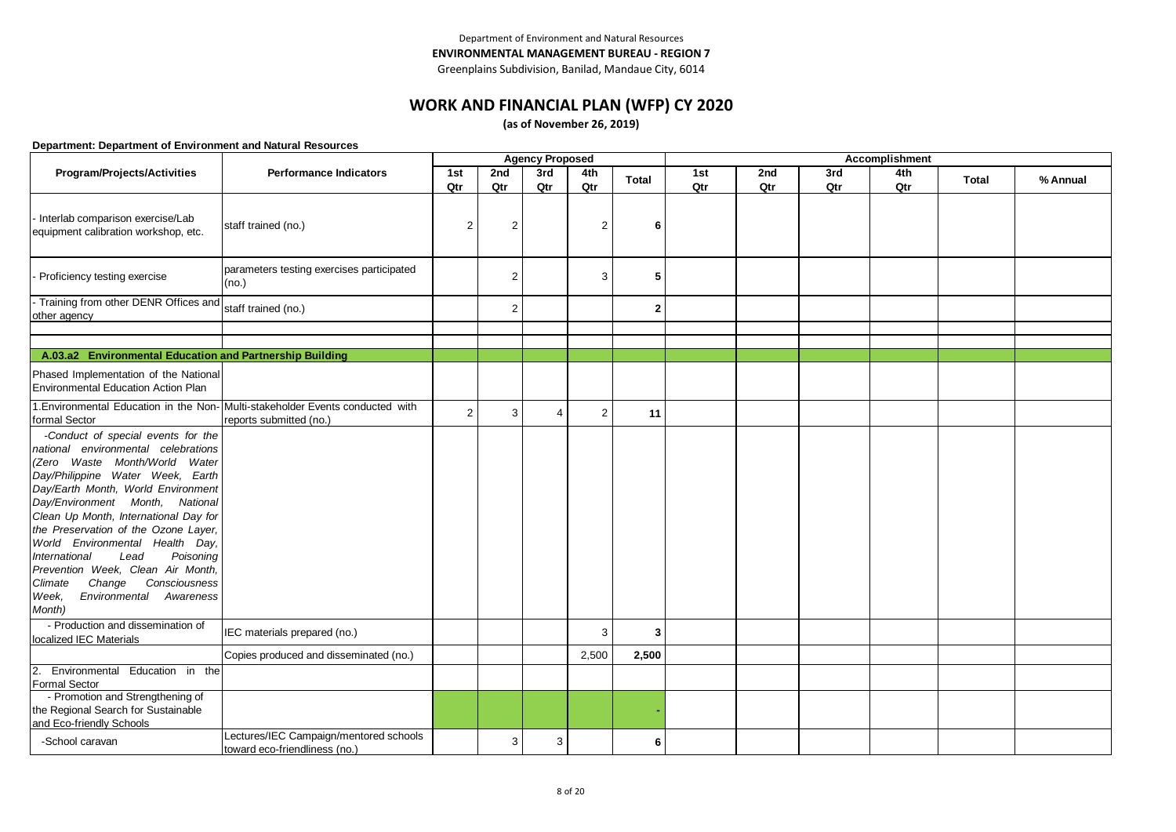# **WORK AND FINANCIAL PLAN (WFP) CY 2020**

**(as of November 26, 2019)**

|                                                                                                                                                                                                                                                                                                                                                                                                                                                                                                            |                                                                                                           |                |                | <b>Agency Proposed</b> |                |              |            |            |            | Accomplishment |       |          |
|------------------------------------------------------------------------------------------------------------------------------------------------------------------------------------------------------------------------------------------------------------------------------------------------------------------------------------------------------------------------------------------------------------------------------------------------------------------------------------------------------------|-----------------------------------------------------------------------------------------------------------|----------------|----------------|------------------------|----------------|--------------|------------|------------|------------|----------------|-------|----------|
| Program/Projects/Activities                                                                                                                                                                                                                                                                                                                                                                                                                                                                                | <b>Performance Indicators</b>                                                                             | 1st<br>Qtr     | 2nd<br>Qtr     | 3rd<br>Qtr             | 4th<br>Qtr     | <b>Total</b> | 1st<br>Qtr | 2nd<br>Qtr | 3rd<br>Qtr | 4th<br>Qtr     | Total | % Annual |
| Interlab comparison exercise/Lab<br>equipment calibration workshop, etc.                                                                                                                                                                                                                                                                                                                                                                                                                                   | staff trained (no.)                                                                                       | $\overline{2}$ | $\overline{2}$ |                        | $\overline{2}$ | 6            |            |            |            |                |       |          |
| Proficiency testing exercise                                                                                                                                                                                                                                                                                                                                                                                                                                                                               | parameters testing exercises participated<br>(no.)                                                        |                | $\overline{2}$ |                        | 3              | 5            |            |            |            |                |       |          |
| - Training from other DENR Offices and<br>other agency                                                                                                                                                                                                                                                                                                                                                                                                                                                     | staff trained (no.)                                                                                       |                | 2              |                        |                | $\mathbf{2}$ |            |            |            |                |       |          |
|                                                                                                                                                                                                                                                                                                                                                                                                                                                                                                            |                                                                                                           |                |                |                        |                |              |            |            |            |                |       |          |
| A.03.a2 Environmental Education and Partnership Building                                                                                                                                                                                                                                                                                                                                                                                                                                                   |                                                                                                           |                |                |                        |                |              |            |            |            |                |       |          |
| Phased Implementation of the National<br>Environmental Education Action Plan                                                                                                                                                                                                                                                                                                                                                                                                                               |                                                                                                           |                |                |                        |                |              |            |            |            |                |       |          |
| formal Sector                                                                                                                                                                                                                                                                                                                                                                                                                                                                                              | 1. Environmental Education in the Non- Multi-stakeholder Events conducted with<br>reports submitted (no.) | $\overline{c}$ | 3              | $\overline{4}$         | $\overline{2}$ | 11           |            |            |            |                |       |          |
| -Conduct of special events for the<br>national environmental celebrations<br>(Zero Waste Month/World Water<br>Day/Philippine Water Week, Earth<br>Day/Earth Month, World Environment<br>Day/Environment Month, National<br>Clean Up Month, International Day for<br>the Preservation of the Ozone Layer,<br>World Environmental Health Day,<br>Poisoning<br>International<br>Lead<br>Prevention Week, Clean Air Month,<br>Climate<br>Change<br>Consciousness<br>Environmental Awareness<br>Week,<br>Month) |                                                                                                           |                |                |                        |                |              |            |            |            |                |       |          |
| - Production and dissemination of<br>localized IEC Materials                                                                                                                                                                                                                                                                                                                                                                                                                                               | IEC materials prepared (no.)                                                                              |                |                |                        | 3              | 3            |            |            |            |                |       |          |
|                                                                                                                                                                                                                                                                                                                                                                                                                                                                                                            | Copies produced and disseminated (no.)                                                                    |                |                |                        | 2,500          | 2,500        |            |            |            |                |       |          |
| Environmental Education in the<br>2.<br><b>Formal Sector</b>                                                                                                                                                                                                                                                                                                                                                                                                                                               |                                                                                                           |                |                |                        |                |              |            |            |            |                |       |          |
| - Promotion and Strengthening of<br>the Regional Search for Sustainable<br>and Eco-friendly Schools                                                                                                                                                                                                                                                                                                                                                                                                        |                                                                                                           |                |                |                        |                |              |            |            |            |                |       |          |
| -School caravan                                                                                                                                                                                                                                                                                                                                                                                                                                                                                            | Lectures/IEC Campaign/mentored schools<br>toward eco-friendliness (no.)                                   |                | 3              | 3                      |                | 6            |            |            |            |                |       |          |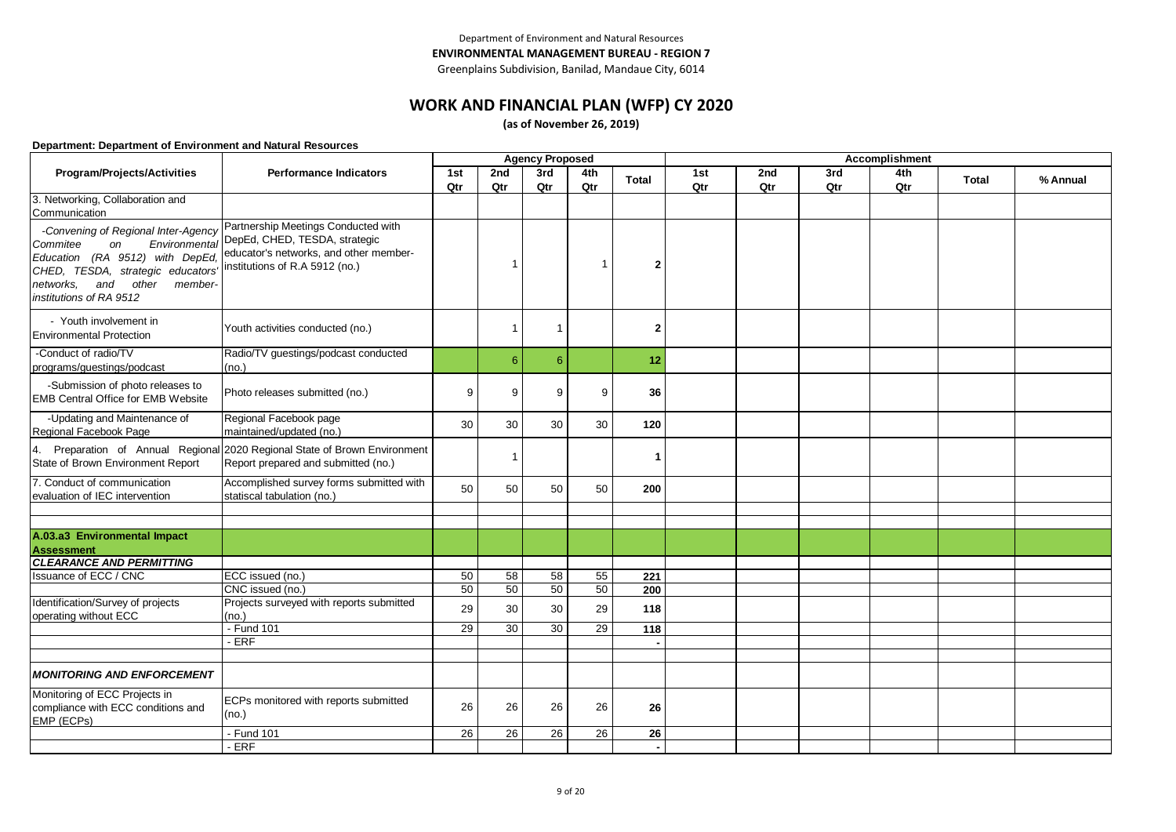Greenplains Subdivision, Banilad, Mandaue City, 6014

### **WORK AND FINANCIAL PLAN (WFP) CY 2020**

**(as of November 26, 2019)**

|                                                                                                                                                                                               | <b>Agency Proposed</b>                                                                                                                                         |     |             |                |                |              |     | Accomplishment |     |     |              |          |
|-----------------------------------------------------------------------------------------------------------------------------------------------------------------------------------------------|----------------------------------------------------------------------------------------------------------------------------------------------------------------|-----|-------------|----------------|----------------|--------------|-----|----------------|-----|-----|--------------|----------|
| Program/Projects/Activities                                                                                                                                                                   | <b>Performance Indicators</b>                                                                                                                                  | 1st | 2nd         | 3rd            | 4th            | <b>Total</b> | 1st | 2nd            | 3rd | 4th | <b>Total</b> | % Annual |
|                                                                                                                                                                                               |                                                                                                                                                                | Qtr | Qtr         | Qtr            | Qtr            |              | Qtr | Qtr            | Qtr | Qtr |              |          |
| 3. Networking, Collaboration and<br>Communication                                                                                                                                             |                                                                                                                                                                |     |             |                |                |              |     |                |     |     |              |          |
| -Convening of Regional Inter-Agency<br>Commitee<br>on<br>Education (RA 9512) with DepEd,<br>CHED, TESDA, strategic educators'<br>other member-<br>networks.<br>and<br>institutions of RA 9512 | Partnership Meetings Conducted with<br>Environmental DepEd, CHED, TESDA, strategic<br>educator's networks, and other member-<br>institutions of R.A 5912 (no.) |     | -1          |                | $\overline{1}$ | 2            |     |                |     |     |              |          |
| - Youth involvement in<br><b>Environmental Protection</b>                                                                                                                                     | Youth activities conducted (no.)                                                                                                                               |     | $\mathbf 1$ | $\overline{1}$ |                | $\mathbf{2}$ |     |                |     |     |              |          |
| -Conduct of radio/TV<br>programs/guestings/podcast                                                                                                                                            | Radio/TV guestings/podcast conducted<br>(no.)                                                                                                                  |     | 6           | 6              |                | 12           |     |                |     |     |              |          |
| -Submission of photo releases to<br><b>EMB Central Office for EMB Website</b>                                                                                                                 | Photo releases submitted (no.)                                                                                                                                 | 9   | 9           | 9              | 9              | 36           |     |                |     |     |              |          |
| -Updating and Maintenance of<br>Regional Facebook Page                                                                                                                                        | Regional Facebook page<br>maintained/updated (no.)                                                                                                             | 30  | 30          | 30             | 30             | 120          |     |                |     |     |              |          |
| 4.<br>State of Brown Environment Report                                                                                                                                                       | Preparation of Annual Regional 2020 Regional State of Brown Environment<br>Report prepared and submitted (no.)                                                 |     | -1          |                |                | 1            |     |                |     |     |              |          |
| 7. Conduct of communication<br>evaluation of IEC intervention                                                                                                                                 | Accomplished survey forms submitted with<br>statiscal tabulation (no.)                                                                                         | 50  | 50          | 50             | 50             | 200          |     |                |     |     |              |          |
|                                                                                                                                                                                               |                                                                                                                                                                |     |             |                |                |              |     |                |     |     |              |          |
| A.03.a3 Environmental Impact<br><b>Assessment</b>                                                                                                                                             |                                                                                                                                                                |     |             |                |                |              |     |                |     |     |              |          |
| <b>CLEARANCE AND PERMITTING</b>                                                                                                                                                               |                                                                                                                                                                |     |             |                |                |              |     |                |     |     |              |          |
| <b>Issuance of ECC / CNC</b>                                                                                                                                                                  | ECC issued (no.)                                                                                                                                               | 50  | 58          | 58             | 55             | 221          |     |                |     |     |              |          |
|                                                                                                                                                                                               | CNC issued (no.)                                                                                                                                               | 50  | 50          | 50             | 50             | 200          |     |                |     |     |              |          |
| Identification/Survey of projects<br>operating without ECC                                                                                                                                    | Projects surveyed with reports submitted<br>(no.)                                                                                                              | 29  | 30          | 30             | 29             | 118          |     |                |     |     |              |          |
|                                                                                                                                                                                               | - Fund 101                                                                                                                                                     | 29  | 30          | 30             | 29             | 118          |     |                |     |     |              |          |
|                                                                                                                                                                                               | $-ERF$                                                                                                                                                         |     |             |                |                |              |     |                |     |     |              |          |
|                                                                                                                                                                                               |                                                                                                                                                                |     |             |                |                |              |     |                |     |     |              |          |
| <b>MONITORING AND ENFORCEMENT</b>                                                                                                                                                             |                                                                                                                                                                |     |             |                |                |              |     |                |     |     |              |          |
| Monitoring of ECC Projects in<br>compliance with ECC conditions and<br>EMP (ECPs)                                                                                                             | ECPs monitored with reports submitted<br>(no.)                                                                                                                 | 26  | 26          | 26             | 26             | 26           |     |                |     |     |              |          |
|                                                                                                                                                                                               | - Fund 101                                                                                                                                                     | 26  | 26          | 26             | 26             | 26           |     |                |     |     |              |          |
|                                                                                                                                                                                               | - ERF                                                                                                                                                          |     |             |                |                |              |     |                |     |     |              |          |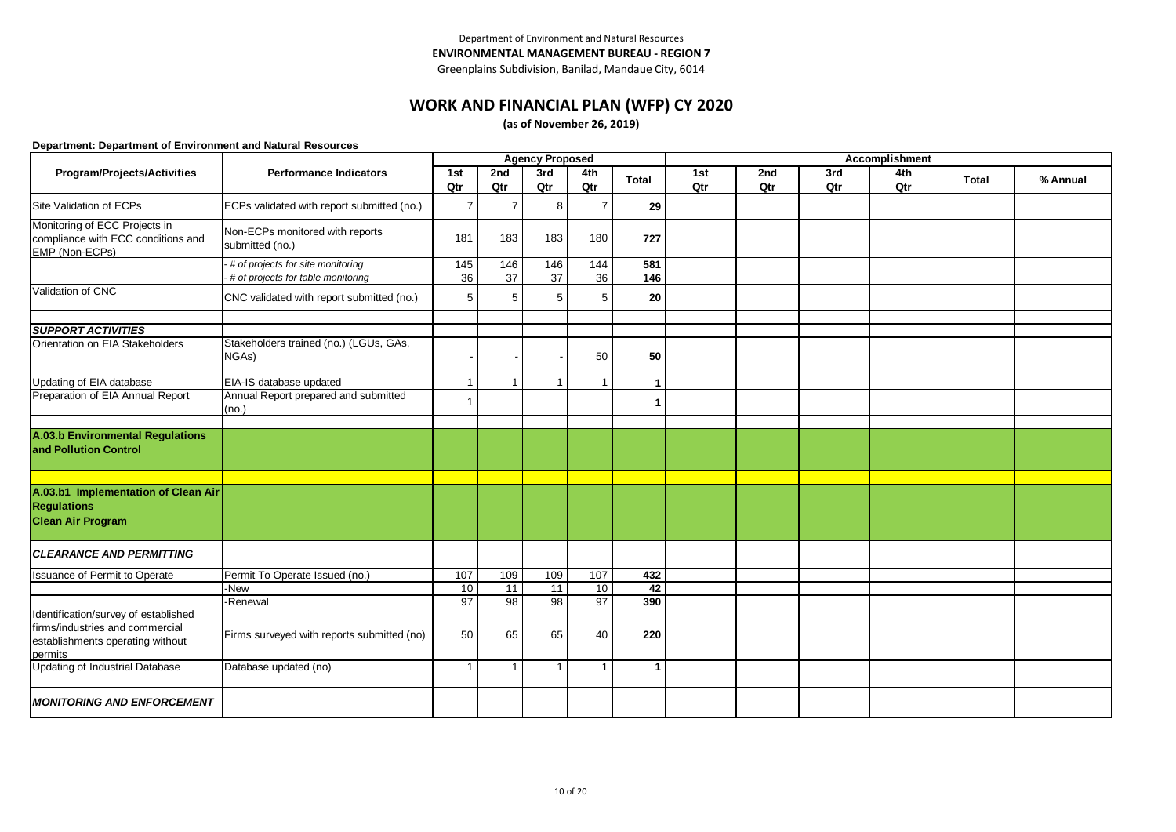### **WORK AND FINANCIAL PLAN (WFP) CY 2020**

**(as of November 26, 2019)**

|                                                                                                                        |                                                    |                |                 | <b>Agency Proposed</b> |                |                      |     |     |     | Accomplishment |              |          |
|------------------------------------------------------------------------------------------------------------------------|----------------------------------------------------|----------------|-----------------|------------------------|----------------|----------------------|-----|-----|-----|----------------|--------------|----------|
| Program/Projects/Activities                                                                                            | <b>Performance Indicators</b>                      | 1st            | 2nd             | 3rd                    | 4th            | <b>Total</b>         | 1st | 2nd | 3rd | 4th            | <b>Total</b> | % Annual |
|                                                                                                                        |                                                    | Qtr            | Qtr             | Qtr                    | Qtr            |                      | Qtr | Qtr | Qtr | Qtr            |              |          |
| Site Validation of ECPs                                                                                                | ECPs validated with report submitted (no.)         | $\overline{7}$ | $\overline{7}$  | 8                      | $\overline{7}$ | 29                   |     |     |     |                |              |          |
| Monitoring of ECC Projects in<br>compliance with ECC conditions and<br>EMP (Non-ECPs)                                  | Non-ECPs monitored with reports<br>submitted (no.) | 181            | 183             | 183                    | 180            | 727                  |     |     |     |                |              |          |
|                                                                                                                        | # of projects for site monitoring                  | 145            | 146             | 146                    | 144            | 581                  |     |     |     |                |              |          |
|                                                                                                                        | # of projects for table monitoring                 | 36             | $\overline{37}$ | $\overline{37}$        | 36             | 146                  |     |     |     |                |              |          |
| Validation of CNC                                                                                                      | CNC validated with report submitted (no.)          | 5              | 5               | 5                      | 5              | 20                   |     |     |     |                |              |          |
|                                                                                                                        |                                                    |                |                 |                        |                |                      |     |     |     |                |              |          |
| <b>SUPPORT ACTIVITIES</b>                                                                                              |                                                    |                |                 |                        |                |                      |     |     |     |                |              |          |
| Orientation on EIA Stakeholders                                                                                        | Stakeholders trained (no.) (LGUs, GAs,<br>NGAs)    |                |                 |                        | 50             | 50                   |     |     |     |                |              |          |
| Updating of EIA database                                                                                               | EIA-IS database updated                            | $\mathbf{1}$   | 1               | -1                     | $\overline{1}$ | $\mathbf 1$          |     |     |     |                |              |          |
| Preparation of EIA Annual Report                                                                                       | Annual Report prepared and submitted<br>(no.)      | $\mathbf{1}$   |                 |                        |                | 1                    |     |     |     |                |              |          |
|                                                                                                                        |                                                    |                |                 |                        |                |                      |     |     |     |                |              |          |
| A.03.b Environmental Regulations<br>and Pollution Control                                                              |                                                    |                |                 |                        |                |                      |     |     |     |                |              |          |
|                                                                                                                        |                                                    |                |                 |                        |                |                      |     |     |     |                |              |          |
| A.03.b1 Implementation of Clean Air<br><b>Regulations</b>                                                              |                                                    |                |                 |                        |                |                      |     |     |     |                |              |          |
| <b>Clean Air Program</b>                                                                                               |                                                    |                |                 |                        |                |                      |     |     |     |                |              |          |
| <b>CLEARANCE AND PERMITTING</b>                                                                                        |                                                    |                |                 |                        |                |                      |     |     |     |                |              |          |
| <b>Issuance of Permit to Operate</b>                                                                                   | Permit To Operate Issued (no.)                     | 107            | 109             | 109                    | 107            | 432                  |     |     |     |                |              |          |
|                                                                                                                        | -New                                               | 10             | 11              | 11                     | 10             | 42                   |     |     |     |                |              |          |
|                                                                                                                        | -Renewal                                           | 97             | 98              | 98                     | 97             | 390                  |     |     |     |                |              |          |
| Identification/survey of established<br>firms/industries and commercial<br>establishments operating without<br>permits | Firms surveyed with reports submitted (no)         | 50             | 65              | 65                     | 40             | 220                  |     |     |     |                |              |          |
| <b>Updating of Industrial Database</b>                                                                                 | Database updated (no)                              | $\mathbf{1}$   | $\overline{1}$  | $\overline{1}$         | $\overline{1}$ | $\blacktriangleleft$ |     |     |     |                |              |          |
|                                                                                                                        |                                                    |                |                 |                        |                |                      |     |     |     |                |              |          |
| <b>MONITORING AND ENFORCEMENT</b>                                                                                      |                                                    |                |                 |                        |                |                      |     |     |     |                |              |          |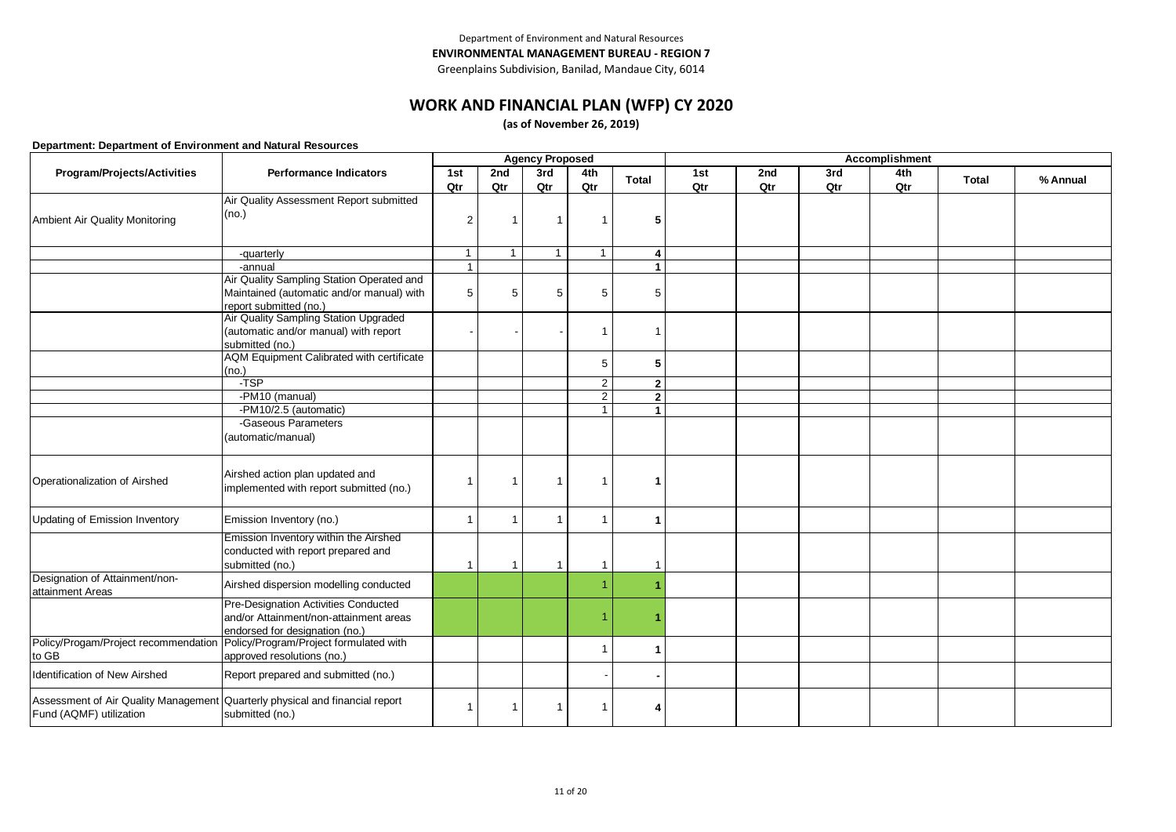Greenplains Subdivision, Banilad, Mandaue City, 6014

# **WORK AND FINANCIAL PLAN (WFP) CY 2020**

**(as of November 26, 2019)**

|                                      |                                           |                |              | <b>Agency Proposed</b>  |                         |                      |     |     |     | Accomplishment |              |          |
|--------------------------------------|-------------------------------------------|----------------|--------------|-------------------------|-------------------------|----------------------|-----|-----|-----|----------------|--------------|----------|
| Program/Projects/Activities          | <b>Performance Indicators</b>             | 1st            | 2nd          | 3rd                     | 4th                     | <b>Total</b>         | 1st | 2nd | 3rd | 4th            | <b>Total</b> | % Annual |
|                                      |                                           | Qtr            | Qtr          | Qtr                     | Qtr                     |                      | Qtr | Qtr | Qtr | Qtr            |              |          |
|                                      | Air Quality Assessment Report submitted   |                |              |                         |                         |                      |     |     |     |                |              |          |
| Ambient Air Quality Monitoring       | (no.)                                     | $\overline{2}$ | -1           | $\overline{1}$          | -1                      | 5                    |     |     |     |                |              |          |
|                                      |                                           |                |              |                         |                         |                      |     |     |     |                |              |          |
|                                      |                                           |                |              |                         |                         |                      |     |     |     |                |              |          |
|                                      | -quarterly                                | $\mathbf{1}$   | $\mathbf{1}$ | $\mathbf{1}$            | $\overline{1}$          | 4                    |     |     |     |                |              |          |
|                                      | -annual                                   | $\mathbf{1}$   |              |                         |                         | $\blacktriangleleft$ |     |     |     |                |              |          |
|                                      | Air Quality Sampling Station Operated and |                |              |                         |                         |                      |     |     |     |                |              |          |
|                                      | Maintained (automatic and/or manual) with | 5              | 5            | 5                       | 5                       | 5                    |     |     |     |                |              |          |
|                                      | report submitted (no.)                    |                |              |                         |                         |                      |     |     |     |                |              |          |
|                                      | Air Quality Sampling Station Upgraded     |                |              |                         |                         |                      |     |     |     |                |              |          |
|                                      | (automatic and/or manual) with report     |                |              |                         |                         |                      |     |     |     |                |              |          |
|                                      | submitted (no.)                           |                |              |                         |                         |                      |     |     |     |                |              |          |
|                                      | AQM Equipment Calibrated with certificate |                |              |                         | 5                       | 5                    |     |     |     |                |              |          |
|                                      | (no.)                                     |                |              |                         |                         |                      |     |     |     |                |              |          |
|                                      | -TSP                                      |                |              |                         | $\overline{2}$          | $\mathbf{2}$         |     |     |     |                |              |          |
|                                      | -PM10 (manual)                            |                |              |                         | $\overline{2}$          | $\overline{2}$       |     |     |     |                |              |          |
|                                      | -PM10/2.5 (automatic)                     |                |              |                         | $\overline{\mathbf{A}}$ | $\mathbf{1}$         |     |     |     |                |              |          |
|                                      | -Gaseous Parameters                       |                |              |                         |                         |                      |     |     |     |                |              |          |
|                                      | (automatic/manual)                        |                |              |                         |                         |                      |     |     |     |                |              |          |
|                                      |                                           |                |              |                         |                         |                      |     |     |     |                |              |          |
|                                      |                                           |                |              |                         |                         |                      |     |     |     |                |              |          |
| Operationalization of Airshed        | Airshed action plan updated and           | 1              | -1           | $\overline{\mathbf{1}}$ | -1                      |                      |     |     |     |                |              |          |
|                                      | implemented with report submitted (no.)   |                |              |                         |                         |                      |     |     |     |                |              |          |
|                                      |                                           |                |              |                         |                         |                      |     |     |     |                |              |          |
| Updating of Emission Inventory       | Emission Inventory (no.)                  | 1              | 1            | $\overline{\mathbf{1}}$ | -1                      | 1                    |     |     |     |                |              |          |
|                                      | Emission Inventory within the Airshed     |                |              |                         |                         |                      |     |     |     |                |              |          |
|                                      | conducted with report prepared and        |                |              |                         |                         |                      |     |     |     |                |              |          |
|                                      | submitted (no.)                           | $\overline{1}$ | 1            | $\overline{1}$          | $\overline{1}$          |                      |     |     |     |                |              |          |
| Designation of Attainment/non-       |                                           |                |              |                         |                         |                      |     |     |     |                |              |          |
| attainment Areas                     | Airshed dispersion modelling conducted    |                |              |                         |                         |                      |     |     |     |                |              |          |
|                                      | Pre-Designation Activities Conducted      |                |              |                         |                         |                      |     |     |     |                |              |          |
|                                      | and/or Attainment/non-attainment areas    |                |              |                         |                         |                      |     |     |     |                |              |          |
|                                      | endorsed for designation (no.)            |                |              |                         |                         |                      |     |     |     |                |              |          |
| Policy/Progam/Project recommendation | Policy/Program/Project formulated with    |                |              |                         | 1                       |                      |     |     |     |                |              |          |
| to GB                                | approved resolutions (no.)                |                |              |                         |                         | $\mathbf{1}$         |     |     |     |                |              |          |
|                                      |                                           |                |              |                         |                         |                      |     |     |     |                |              |          |
| <b>Identification of New Airshed</b> | Report prepared and submitted (no.)       |                |              |                         |                         |                      |     |     |     |                |              |          |
| Assessment of Air Quality Management | Quarterly physical and financial report   |                |              |                         |                         |                      |     |     |     |                |              |          |
| Fund (AQMF) utilization              | submitted (no.)                           |                |              |                         |                         | 4                    |     |     |     |                |              |          |
|                                      |                                           |                |              |                         |                         |                      |     |     |     |                |              |          |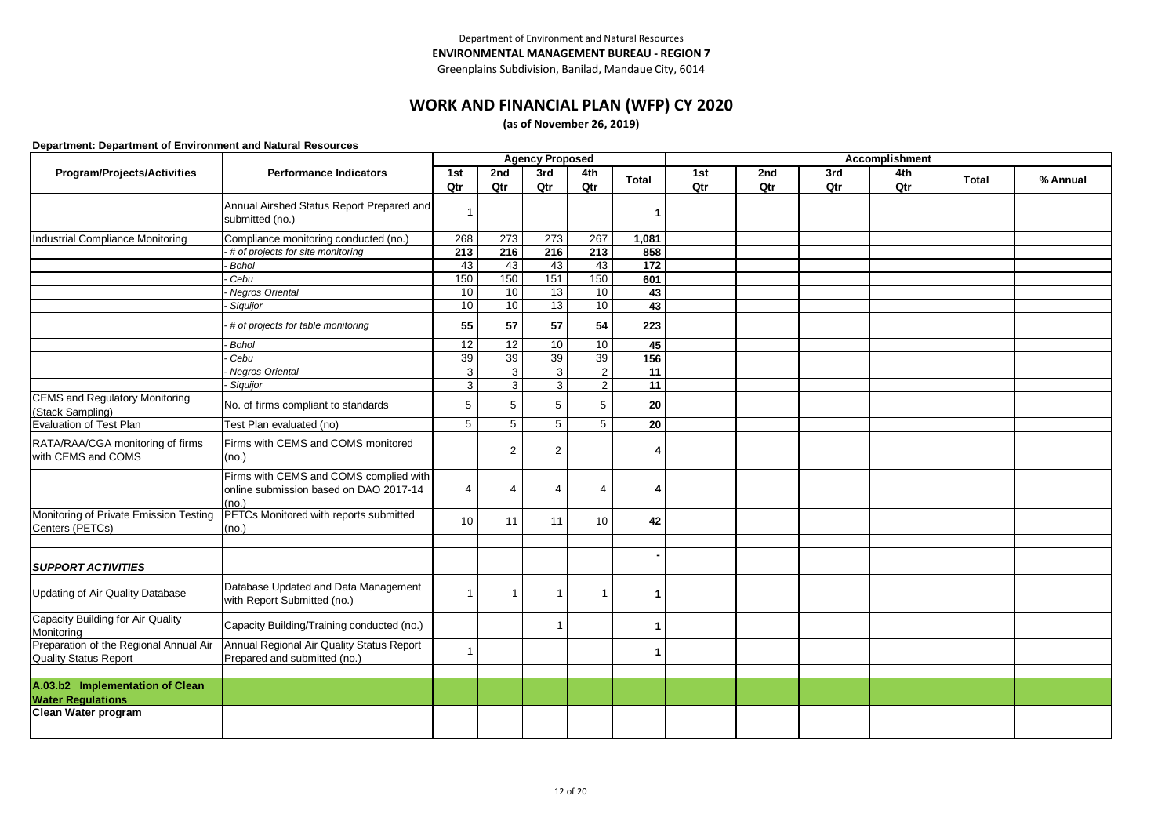Greenplains Subdivision, Banilad, Mandaue City, 6014

# **WORK AND FINANCIAL PLAN (WFP) CY 2020**

**(as of November 26, 2019)**

|                                                                 |                                                                                           |                  |                  | <b>Agency Proposed</b> |                  |                 |     |     |     | Accomplishment |              |          |
|-----------------------------------------------------------------|-------------------------------------------------------------------------------------------|------------------|------------------|------------------------|------------------|-----------------|-----|-----|-----|----------------|--------------|----------|
| Program/Projects/Activities                                     | <b>Performance Indicators</b>                                                             | 1st              | 2nd              | 3rd                    | 4th              | <b>Total</b>    | 1st | 2nd | 3rd | 4th            | <b>Total</b> | % Annual |
|                                                                 |                                                                                           | Qtr              | Qtr              | Qtr                    | Qtr              |                 | Qtr | Qtr | Qtr | Qtr            |              |          |
|                                                                 | Annual Airshed Status Report Prepared and<br>submitted (no.)                              | $\mathbf{1}$     |                  |                        |                  |                 |     |     |     |                |              |          |
| Industrial Compliance Monitoring                                | Compliance monitoring conducted (no.)                                                     | 268              | 273              | 273                    | 267              | 1,081           |     |     |     |                |              |          |
|                                                                 | # of projects for site monitoring                                                         | $\overline{213}$ | $\overline{216}$ | 216                    | $\overline{213}$ | 858             |     |     |     |                |              |          |
|                                                                 | <b>Bohol</b>                                                                              | 43               | 43               | 43                     | 43               | 172             |     |     |     |                |              |          |
|                                                                 | Cebu                                                                                      | 150              | 150              | 151                    | 150              | 601             |     |     |     |                |              |          |
|                                                                 | Negros Oriental                                                                           | 10               | 10               | 13                     | 10               | 43              |     |     |     |                |              |          |
|                                                                 | Siquijor                                                                                  | 10               | 10               | 13                     | 10               | 43              |     |     |     |                |              |          |
|                                                                 | # of projects for table monitoring                                                        | 55               | 57               | 57                     | 54               | 223             |     |     |     |                |              |          |
|                                                                 | <b>Bohol</b>                                                                              | 12               | $\overline{12}$  | $\overline{10}$        | 10               | 45              |     |     |     |                |              |          |
|                                                                 | Cebu                                                                                      | 39               | 39               | 39                     | 39               | 156             |     |     |     |                |              |          |
|                                                                 | Negros Oriental                                                                           | $\mathbf{3}$     | $\mathbf{3}$     | 3                      | $\overline{c}$   | 11              |     |     |     |                |              |          |
|                                                                 | Siquijor                                                                                  | $\overline{3}$   | 3                | 3                      | $\overline{2}$   | $\overline{11}$ |     |     |     |                |              |          |
| <b>CEMS and Regulatory Monitoring</b><br>(Stack Sampling)       | No. of firms compliant to standards                                                       | 5                | 5                | 5                      | 5                | 20              |     |     |     |                |              |          |
| Evaluation of Test Plan                                         | Test Plan evaluated (no)                                                                  | $\overline{5}$   | $\overline{5}$   | $\overline{5}$         | 5                | 20              |     |     |     |                |              |          |
| RATA/RAA/CGA monitoring of firms<br>with CEMS and COMS          | Firms with CEMS and COMS monitored<br>(no.)                                               |                  | 2                | $\overline{2}$         |                  |                 |     |     |     |                |              |          |
|                                                                 | Firms with CEMS and COMS complied with<br>online submission based on DAO 2017-14<br>(no.) | 4                | 4                | $\overline{4}$         | $\overline{4}$   |                 |     |     |     |                |              |          |
| Monitoring of Private Emission Testing<br>Centers (PETCs)       | PETCs Monitored with reports submitted<br>(no.)                                           | 10               | 11               | 11                     | 10               | 42              |     |     |     |                |              |          |
|                                                                 |                                                                                           |                  |                  |                        |                  |                 |     |     |     |                |              |          |
| <b>SUPPORT ACTIVITIES</b>                                       |                                                                                           |                  |                  |                        |                  |                 |     |     |     |                |              |          |
|                                                                 |                                                                                           |                  |                  |                        |                  |                 |     |     |     |                |              |          |
| Updating of Air Quality Database                                | Database Updated and Data Management<br>with Report Submitted (no.)                       |                  | $\mathbf 1$      | $\overline{1}$         |                  |                 |     |     |     |                |              |          |
| Capacity Building for Air Quality<br>Monitoring                 | Capacity Building/Training conducted (no.)                                                |                  |                  | 1                      |                  |                 |     |     |     |                |              |          |
| Preparation of the Regional Annual Air<br>Quality Status Report | Annual Regional Air Quality Status Report<br>Prepared and submitted (no.)                 | $\mathbf{1}$     |                  |                        |                  |                 |     |     |     |                |              |          |
| A.03.b2 Implementation of Clean<br><b>Water Regulations</b>     |                                                                                           |                  |                  |                        |                  |                 |     |     |     |                |              |          |
| Clean Water program                                             |                                                                                           |                  |                  |                        |                  |                 |     |     |     |                |              |          |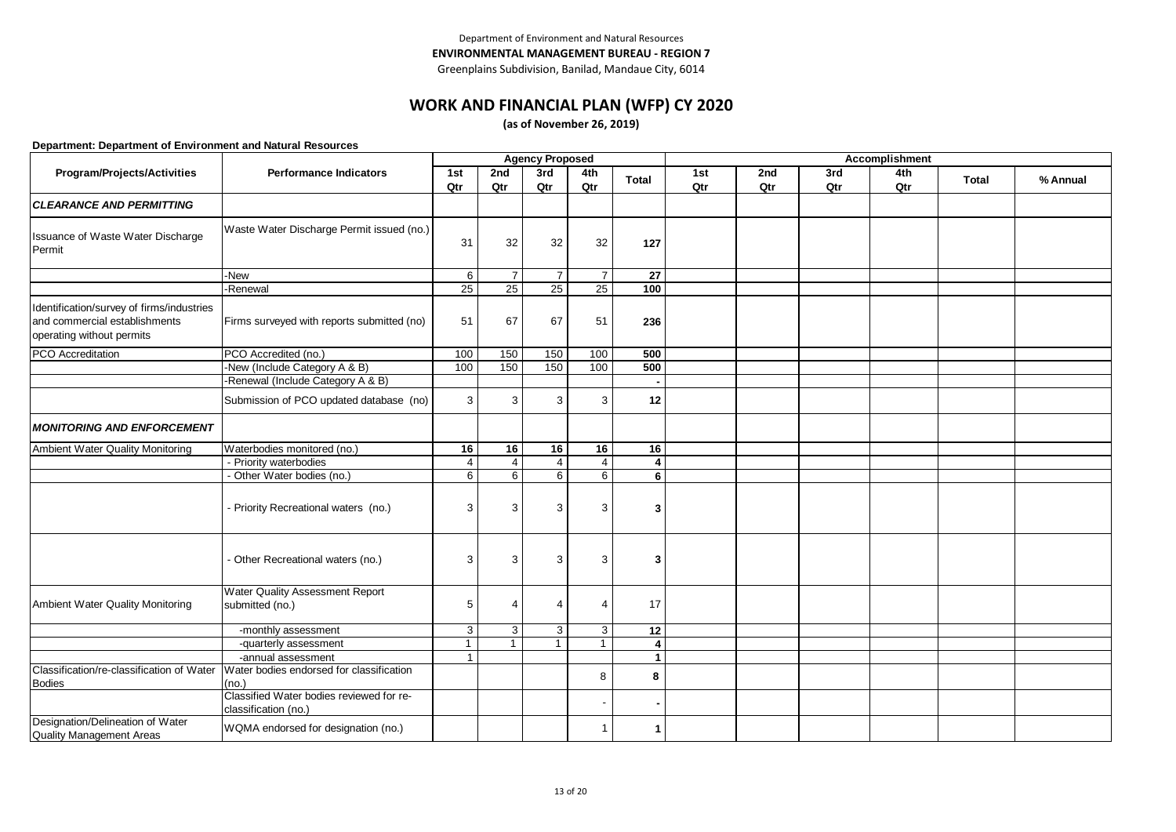Greenplains Subdivision, Banilad, Mandaue City, 6014

### **WORK AND FINANCIAL PLAN (WFP) CY 2020**

**(as of November 26, 2019)**

|                                                                                                         |                                                                  |              |                | <b>Agency Proposed</b> |                |                         | Accomplishment |     |     |     |              |          |  |
|---------------------------------------------------------------------------------------------------------|------------------------------------------------------------------|--------------|----------------|------------------------|----------------|-------------------------|----------------|-----|-----|-----|--------------|----------|--|
| Program/Projects/Activities                                                                             | <b>Performance Indicators</b>                                    | 1st          | 2nd            | 3rd                    | 4th            | <b>Total</b>            | 1st            | 2nd | 3rd | 4th | <b>Total</b> | % Annual |  |
|                                                                                                         |                                                                  | Qtr          | Qtr            | Qtr                    | Qtr            |                         | Qtr            | Qtr | Qtr | Qtr |              |          |  |
| <b>CLEARANCE AND PERMITTING</b>                                                                         |                                                                  |              |                |                        |                |                         |                |     |     |     |              |          |  |
| Issuance of Waste Water Discharge<br>Permit                                                             | Waste Water Discharge Permit issued (no.)                        | 31           | 32             | 32                     | 32             | 127                     |                |     |     |     |              |          |  |
|                                                                                                         | -New                                                             | 6            | $\overline{7}$ | $\overline{7}$         | $\overline{7}$ | 27                      |                |     |     |     |              |          |  |
|                                                                                                         | -Renewal                                                         | 25           | 25             | 25                     | 25             | 100                     |                |     |     |     |              |          |  |
| Identification/survey of firms/industries<br>and commercial establishments<br>operating without permits | Firms surveyed with reports submitted (no)                       | 51           | 67             | 67                     | 51             | 236                     |                |     |     |     |              |          |  |
| <b>PCO</b> Accreditation                                                                                | PCO Accredited (no.)                                             | 100          | 150            | 150                    | 100            | 500                     |                |     |     |     |              |          |  |
|                                                                                                         | -New (Include Category A & B)                                    | 100          | 150            | 150                    | 100            | 500                     |                |     |     |     |              |          |  |
|                                                                                                         | -Renewal (Include Category A & B)                                |              |                |                        |                |                         |                |     |     |     |              |          |  |
|                                                                                                         | Submission of PCO updated database (no)                          | 3            | 3              | 3                      | 3              | 12                      |                |     |     |     |              |          |  |
| <b>MONITORING AND ENFORCEMENT</b>                                                                       |                                                                  |              |                |                        |                |                         |                |     |     |     |              |          |  |
| Ambient Water Quality Monitoring                                                                        | Waterbodies monitored (no.)                                      | 16           | 16             | 16                     | 16             | 16                      |                |     |     |     |              |          |  |
|                                                                                                         | - Priority waterbodies                                           | 4            | 4              | 4                      | 4              | 4                       |                |     |     |     |              |          |  |
|                                                                                                         | - Other Water bodies (no.)                                       | 6            | 6              | 6                      | 6              | 6                       |                |     |     |     |              |          |  |
|                                                                                                         | - Priority Recreational waters (no.)                             | 3            | 3              | 3                      | 3              | 3                       |                |     |     |     |              |          |  |
|                                                                                                         | - Other Recreational waters (no.)                                | 3            | 3              | 3                      | 3              | 3                       |                |     |     |     |              |          |  |
| Ambient Water Quality Monitoring                                                                        | Water Quality Assessment Report<br>submitted (no.)               | 5            | $\overline{4}$ | $\overline{4}$         | 4              | 17                      |                |     |     |     |              |          |  |
|                                                                                                         | -monthly assessment                                              | 3            | 3              | $\mathbf{3}$           | 3              | 12                      |                |     |     |     |              |          |  |
|                                                                                                         | -quarterly assessment                                            | $\mathbf{1}$ | $\mathbf{1}$   | $\mathbf{1}$           | $\mathbf{1}$   | $\overline{\mathbf{4}}$ |                |     |     |     |              |          |  |
|                                                                                                         | -annual assessment                                               | $\mathbf{1}$ |                |                        |                | $\mathbf 1$             |                |     |     |     |              |          |  |
| Classification/re-classification of Water<br><b>Bodies</b>                                              | Water bodies endorsed for classification<br>(no.)                |              |                |                        | 8              | 8                       |                |     |     |     |              |          |  |
|                                                                                                         | Classified Water bodies reviewed for re-<br>classification (no.) |              |                |                        |                |                         |                |     |     |     |              |          |  |
| Designation/Delineation of Water<br><b>Quality Management Areas</b>                                     | WQMA endorsed for designation (no.)                              |              |                |                        | -1             | 1                       |                |     |     |     |              |          |  |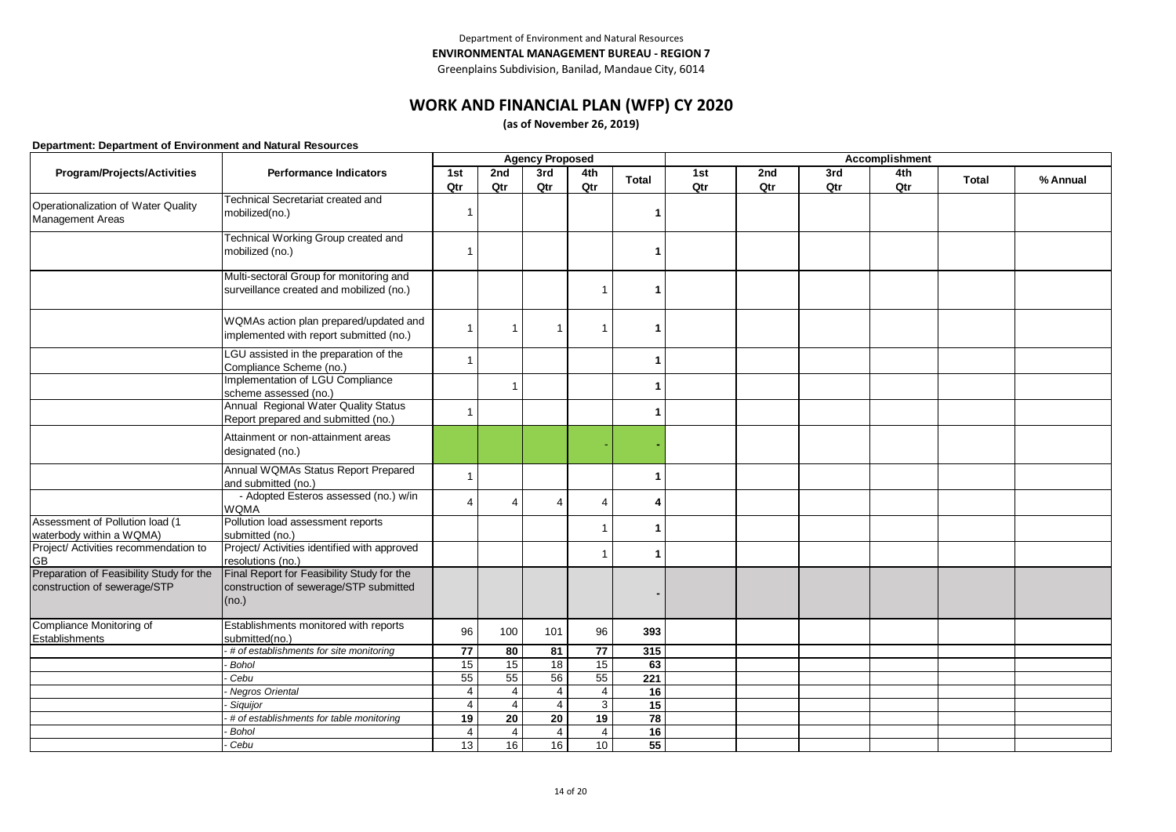# **WORK AND FINANCIAL PLAN (WFP) CY 2020**

**(as of November 26, 2019)**

|                                                                          | <b>Agency Proposed</b><br><b>Accomplishment</b>                                               |                |                |                 |                         |              |     |     |     |     |              |          |
|--------------------------------------------------------------------------|-----------------------------------------------------------------------------------------------|----------------|----------------|-----------------|-------------------------|--------------|-----|-----|-----|-----|--------------|----------|
| Program/Projects/Activities                                              | <b>Performance Indicators</b>                                                                 | 1st            | 2nd            | 3rd             | 4th                     | <b>Total</b> | 1st | 2nd | 3rd | 4th | <b>Total</b> | % Annual |
|                                                                          |                                                                                               | Qtr            | Qtr            | Qtr             | Qtr                     |              | Qtr | Qtr | Qtr | Qtr |              |          |
| Operationalization of Water Quality<br><b>Management Areas</b>           | <b>Technical Secretariat created and</b><br>mobilized(no.)                                    |                |                |                 |                         |              |     |     |     |     |              |          |
|                                                                          | Technical Working Group created and<br>mobilized (no.)                                        |                |                |                 |                         |              |     |     |     |     |              |          |
|                                                                          | Multi-sectoral Group for monitoring and<br>surveillance created and mobilized (no.)           |                |                |                 | -1                      |              |     |     |     |     |              |          |
|                                                                          | WQMAs action plan prepared/updated and<br>implemented with report submitted (no.)             | $\mathbf{1}$   | $\mathbf{1}$   | $\mathbf{1}$    | $\overline{\mathbf{1}}$ |              |     |     |     |     |              |          |
|                                                                          | LGU assisted in the preparation of the<br>Compliance Scheme (no.)                             | $\overline{1}$ |                |                 |                         |              |     |     |     |     |              |          |
|                                                                          | Implementation of LGU Compliance<br>scheme assessed (no.)                                     |                | $\mathbf{1}$   |                 |                         |              |     |     |     |     |              |          |
|                                                                          | Annual Regional Water Quality Status<br>Report prepared and submitted (no.)                   |                |                |                 |                         |              |     |     |     |     |              |          |
|                                                                          | Attainment or non-attainment areas<br>designated (no.)                                        |                |                |                 |                         |              |     |     |     |     |              |          |
|                                                                          | Annual WQMAs Status Report Prepared<br>and submitted (no.)                                    | $\mathbf{1}$   |                |                 |                         |              |     |     |     |     |              |          |
|                                                                          | - Adopted Esteros assessed (no.) w/in<br><b>WQMA</b>                                          | $\overline{4}$ | 4              | $\overline{4}$  | $\Delta$                | 4            |     |     |     |     |              |          |
| Assessment of Pollution load (1<br>waterbody within a WQMA)              | Pollution load assessment reports<br>submitted (no.)                                          |                |                |                 |                         |              |     |     |     |     |              |          |
| Project/ Activities recommendation to<br><b>GB</b>                       | Project/ Activities identified with approved<br>resolutions (no.)                             |                |                |                 |                         |              |     |     |     |     |              |          |
| Preparation of Feasibility Study for the<br>construction of sewerage/STP | Final Report for Feasibility Study for the<br>construction of sewerage/STP submitted<br>(no.) |                |                |                 |                         |              |     |     |     |     |              |          |
| Compliance Monitoring of<br>Establishments                               | Establishments monitored with reports<br>submitted(no.)                                       | 96             | 100            | 101             | 96                      | 393          |     |     |     |     |              |          |
|                                                                          | # of establishments for site monitoring                                                       | 77             | 80             | 81              | 77                      | 315          |     |     |     |     |              |          |
|                                                                          | Bohol                                                                                         | 15             | 15             | $\overline{18}$ | 15                      | 63           |     |     |     |     |              |          |
|                                                                          | Cebu                                                                                          | 55             | 55             | 56              | 55                      | 221          |     |     |     |     |              |          |
|                                                                          | Negros Oriental                                                                               | $\overline{4}$ | $\overline{4}$ | $\overline{4}$  | $\overline{4}$          | 16           |     |     |     |     |              |          |
|                                                                          | Siguijor                                                                                      | $\overline{4}$ | $\overline{4}$ | $\overline{4}$  | 3                       | 15           |     |     |     |     |              |          |
|                                                                          | # of establishments for table monitoring                                                      | 19             | 20             | 20              | 19                      | 78           |     |     |     |     |              |          |
|                                                                          | <b>Bohol</b>                                                                                  | $\overline{4}$ | 4              | $\overline{4}$  | $\overline{4}$          | 16           |     |     |     |     |              |          |
|                                                                          | Cebu                                                                                          | 13             | 16             | 16              | 10                      | 55           |     |     |     |     |              |          |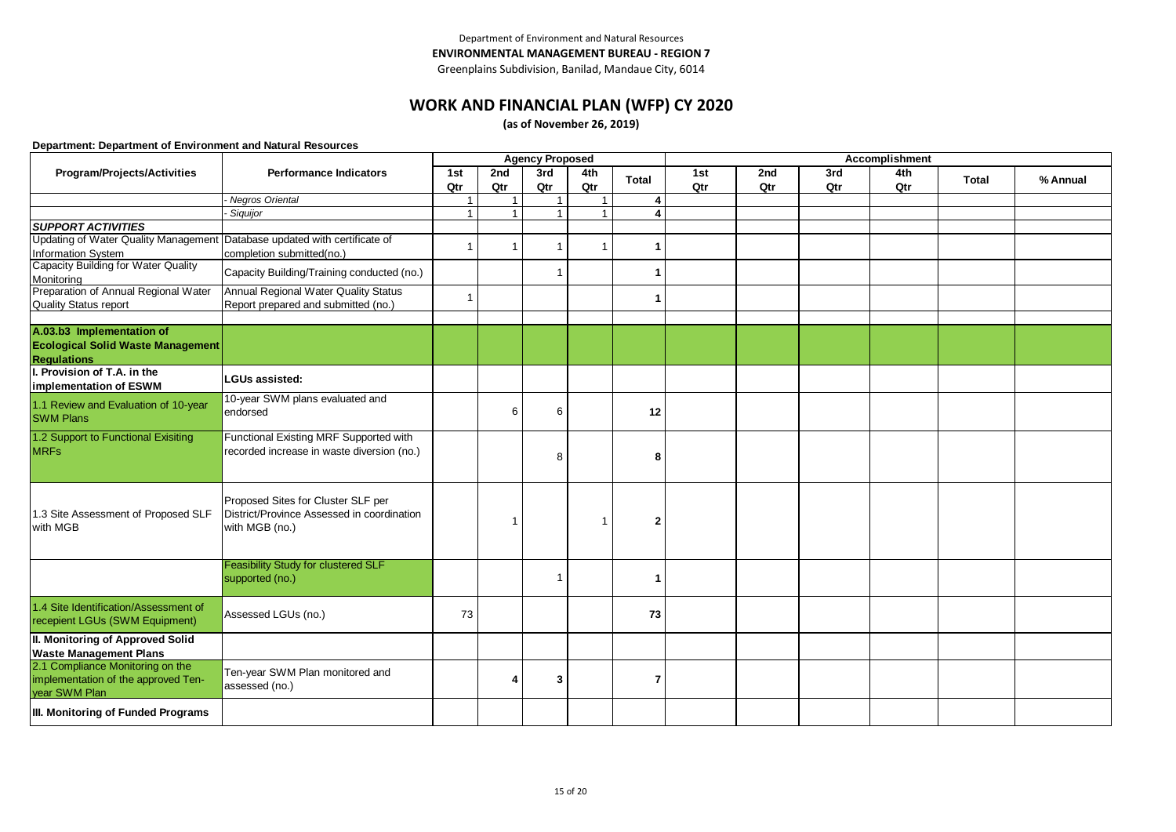Greenplains Subdivision, Banilad, Mandaue City, 6014

### **WORK AND FINANCIAL PLAN (WFP) CY 2020**

**(as of November 26, 2019)**

|                                                                           |                                            |                |     | <b>Agency Proposed</b> |     |              | Accomplishment |     |     |     |              |          |  |
|---------------------------------------------------------------------------|--------------------------------------------|----------------|-----|------------------------|-----|--------------|----------------|-----|-----|-----|--------------|----------|--|
| Program/Projects/Activities                                               | <b>Performance Indicators</b>              | 1st            | 2nd | 3rd                    | 4th | <b>Total</b> | 1st            | 2nd | 3rd | 4th | <b>Total</b> | % Annual |  |
|                                                                           |                                            | Qtr            | Qtr | Qtr                    | Qtr |              | Qtr            | Qtr | Qtr | Qtr |              |          |  |
|                                                                           | Negros Oriental                            | $\overline{1}$ |     |                        |     | 4            |                |     |     |     |              |          |  |
|                                                                           | Siguijor                                   | $\overline{1}$ |     |                        |     | Δ            |                |     |     |     |              |          |  |
| <b>SUPPORT ACTIVITIES</b>                                                 |                                            |                |     |                        |     |              |                |     |     |     |              |          |  |
| Updating of Water Quality Management Database updated with certificate of |                                            | $\overline{1}$ |     | 1                      |     | 1            |                |     |     |     |              |          |  |
| Information System                                                        | completion submitted(no.)                  |                |     |                        |     |              |                |     |     |     |              |          |  |
| Capacity Building for Water Quality                                       | Capacity Building/Training conducted (no.) |                |     | 1                      |     | 1            |                |     |     |     |              |          |  |
| Monitoring                                                                |                                            |                |     |                        |     |              |                |     |     |     |              |          |  |
| Preparation of Annual Regional Water                                      | Annual Regional Water Quality Status       | $\overline{1}$ |     |                        |     | 1            |                |     |     |     |              |          |  |
| <b>Quality Status report</b>                                              | Report prepared and submitted (no.)        |                |     |                        |     |              |                |     |     |     |              |          |  |
|                                                                           |                                            |                |     |                        |     |              |                |     |     |     |              |          |  |
| A.03.b3 Implementation of                                                 |                                            |                |     |                        |     |              |                |     |     |     |              |          |  |
| <b>Ecological Solid Waste Management</b>                                  |                                            |                |     |                        |     |              |                |     |     |     |              |          |  |
| <b>Regulations</b>                                                        |                                            |                |     |                        |     |              |                |     |     |     |              |          |  |
| I. Provision of T.A. in the                                               | <b>LGUs assisted:</b>                      |                |     |                        |     |              |                |     |     |     |              |          |  |
| implementation of ESWM                                                    |                                            |                |     |                        |     |              |                |     |     |     |              |          |  |
| 1.1 Review and Evaluation of 10-year                                      | 10-year SWM plans evaluated and            |                |     |                        |     |              |                |     |     |     |              |          |  |
| <b>SWM Plans</b>                                                          | endorsed                                   |                | 6   | 6                      |     | 12           |                |     |     |     |              |          |  |
|                                                                           |                                            |                |     |                        |     |              |                |     |     |     |              |          |  |
| 1.2 Support to Functional Exisiting                                       | Functional Existing MRF Supported with     |                |     |                        |     |              |                |     |     |     |              |          |  |
| <b>MRFs</b>                                                               | recorded increase in waste diversion (no.) |                |     | 8                      |     | 8            |                |     |     |     |              |          |  |
|                                                                           |                                            |                |     |                        |     |              |                |     |     |     |              |          |  |
|                                                                           |                                            |                |     |                        |     |              |                |     |     |     |              |          |  |
|                                                                           | Proposed Sites for Cluster SLF per         |                |     |                        |     |              |                |     |     |     |              |          |  |
| 1.3 Site Assessment of Proposed SLF                                       | District/Province Assessed in coordination |                |     |                        |     |              |                |     |     |     |              |          |  |
| with MGB                                                                  | with MGB (no.)                             |                |     |                        |     | $\mathbf{2}$ |                |     |     |     |              |          |  |
|                                                                           |                                            |                |     |                        |     |              |                |     |     |     |              |          |  |
|                                                                           |                                            |                |     |                        |     |              |                |     |     |     |              |          |  |
|                                                                           | <b>Feasibility Study for clustered SLF</b> |                |     |                        |     |              |                |     |     |     |              |          |  |
|                                                                           | supported (no.)                            |                |     | -1                     |     | 1            |                |     |     |     |              |          |  |
|                                                                           |                                            |                |     |                        |     |              |                |     |     |     |              |          |  |
| 1.4 Site Identification/Assessment of                                     |                                            |                |     |                        |     |              |                |     |     |     |              |          |  |
| recepient LGUs (SWM Equipment)                                            | Assessed LGUs (no.)                        | 73             |     |                        |     | 73           |                |     |     |     |              |          |  |
| II. Monitoring of Approved Solid                                          |                                            |                |     |                        |     |              |                |     |     |     |              |          |  |
| <b>Waste Management Plans</b>                                             |                                            |                |     |                        |     |              |                |     |     |     |              |          |  |
| 2.1 Compliance Monitoring on the                                          |                                            |                |     |                        |     |              |                |     |     |     |              |          |  |
| implementation of the approved Ten-                                       | Ten-year SWM Plan monitored and            |                |     | 3                      |     | 7            |                |     |     |     |              |          |  |
| vear SWM Plan                                                             | assessed (no.)                             |                |     |                        |     |              |                |     |     |     |              |          |  |
|                                                                           |                                            |                |     |                        |     |              |                |     |     |     |              |          |  |
| III. Monitoring of Funded Programs                                        |                                            |                |     |                        |     |              |                |     |     |     |              |          |  |
|                                                                           |                                            |                |     |                        |     |              |                |     |     |     |              |          |  |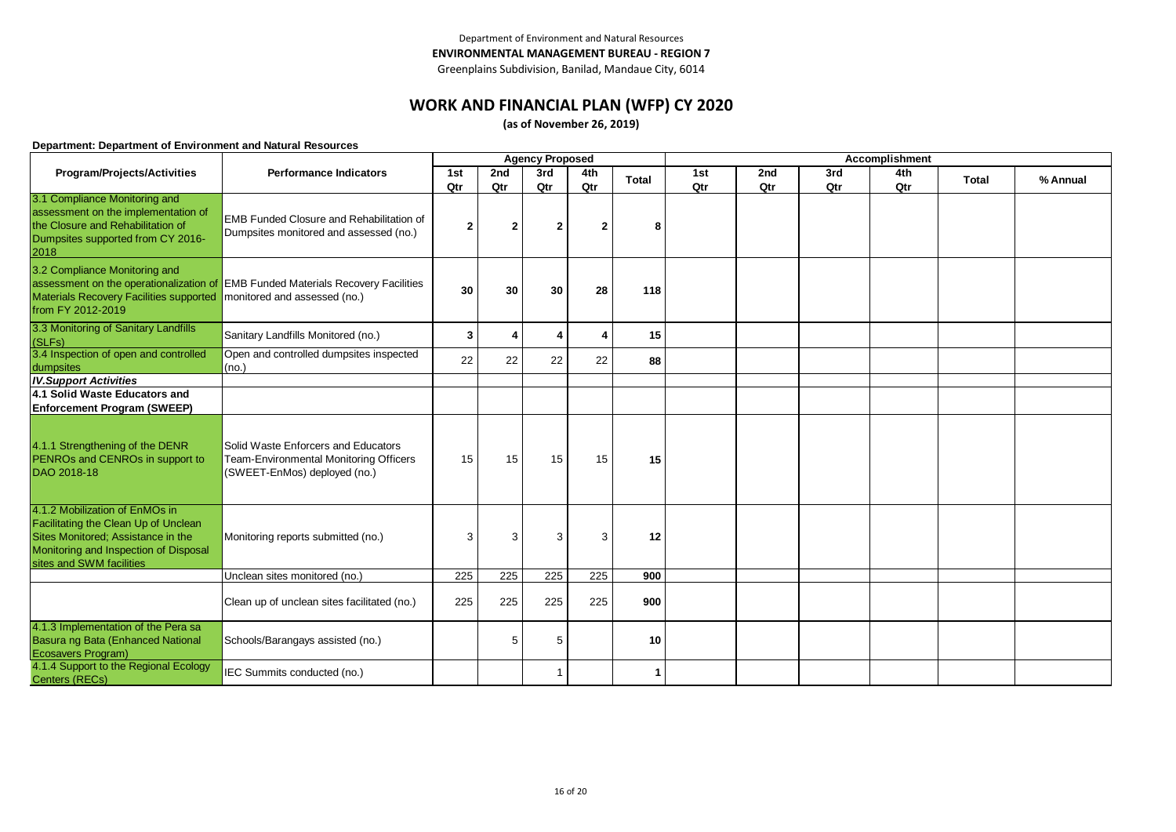### **WORK AND FINANCIAL PLAN (WFP) CY 2020**

**(as of November 26, 2019)**

|                                                                                                                                                                                   |                                                                                                                  |     |                | <b>Agency Proposed</b> |                  |              | Accomplishment |     |     |     |              |          |  |
|-----------------------------------------------------------------------------------------------------------------------------------------------------------------------------------|------------------------------------------------------------------------------------------------------------------|-----|----------------|------------------------|------------------|--------------|----------------|-----|-----|-----|--------------|----------|--|
| Program/Projects/Activities                                                                                                                                                       | <b>Performance Indicators</b>                                                                                    | 1st | 2nd            | 3rd                    | 4th              | <b>Total</b> | 1st            | 2nd | 3rd | 4th | <b>Total</b> | % Annual |  |
|                                                                                                                                                                                   |                                                                                                                  | Qtr | Qtr            | Qtr                    | Qtr              |              | Qtr            | Qtr | Qtr | Qtr |              |          |  |
| 3.1 Compliance Monitoring and<br>assessment on the implementation of<br>the Closure and Rehabilitation of<br>Dumpsites supported from CY 2016-<br>2018                            | <b>EMB Funded Closure and Rehabilitation of</b><br>Dumpsites monitored and assessed (no.)                        | 2   | $\overline{2}$ | $\overline{2}$         | $\overline{2}$   | 8            |                |     |     |     |              |          |  |
| 3.2 Compliance Monitoring and<br>Materials Recovery Facilities supported<br>from FY 2012-2019                                                                                     | assessment on the operationalization of EMB Funded Materials Recovery Facilities<br>monitored and assessed (no.) | 30  | 30             | 30                     | 28               | 118          |                |     |     |     |              |          |  |
| 3.3 Monitoring of Sanitary Landfills<br>(SLFs)                                                                                                                                    | Sanitary Landfills Monitored (no.)                                                                               | 3   | 4              | $\overline{4}$         | Δ                | 15           |                |     |     |     |              |          |  |
| 3.4 Inspection of open and controlled<br>dumpsites                                                                                                                                | Open and controlled dumpsites inspected<br>(no.)                                                                 | 22  | 22             | 22                     | 22               | 88           |                |     |     |     |              |          |  |
| <b>IV.Support Activities</b>                                                                                                                                                      |                                                                                                                  |     |                |                        |                  |              |                |     |     |     |              |          |  |
| 4.1 Solid Waste Educators and                                                                                                                                                     |                                                                                                                  |     |                |                        |                  |              |                |     |     |     |              |          |  |
| <b>Enforcement Program (SWEEP)</b>                                                                                                                                                |                                                                                                                  |     |                |                        |                  |              |                |     |     |     |              |          |  |
| 4.1.1 Strengthening of the DENR<br>PENROs and CENROs in support to<br>DAO 2018-18                                                                                                 | Solid Waste Enforcers and Educators<br>Team-Environmental Monitoring Officers<br>(SWEET-EnMos) deployed (no.)    | 15  | 15             | 15                     | 15               | 15           |                |     |     |     |              |          |  |
| 4.1.2 Mobilization of EnMOs in<br>Facilitating the Clean Up of Unclean<br>Sites Monitored; Assistance in the<br>Monitoring and Inspection of Disposal<br>sites and SWM facilities | Monitoring reports submitted (no.)                                                                               | 3   | 3              | 3                      | 3                | 12           |                |     |     |     |              |          |  |
|                                                                                                                                                                                   | Unclean sites monitored (no.)                                                                                    | 225 | 225            | 225                    | $\overline{225}$ | 900          |                |     |     |     |              |          |  |
|                                                                                                                                                                                   | Clean up of unclean sites facilitated (no.)                                                                      | 225 | 225            | 225                    | 225              | 900          |                |     |     |     |              |          |  |
| 4.1.3 Implementation of the Pera sa<br>Basura ng Bata (Enhanced National<br>Ecosavers Program)                                                                                    | Schools/Barangays assisted (no.)                                                                                 |     | 5              | 5                      |                  | 10           |                |     |     |     |              |          |  |
| 4.1.4 Support to the Regional Ecology<br>Centers (RECs)                                                                                                                           | IEC Summits conducted (no.)                                                                                      |     |                | $\overline{1}$         |                  |              |                |     |     |     |              |          |  |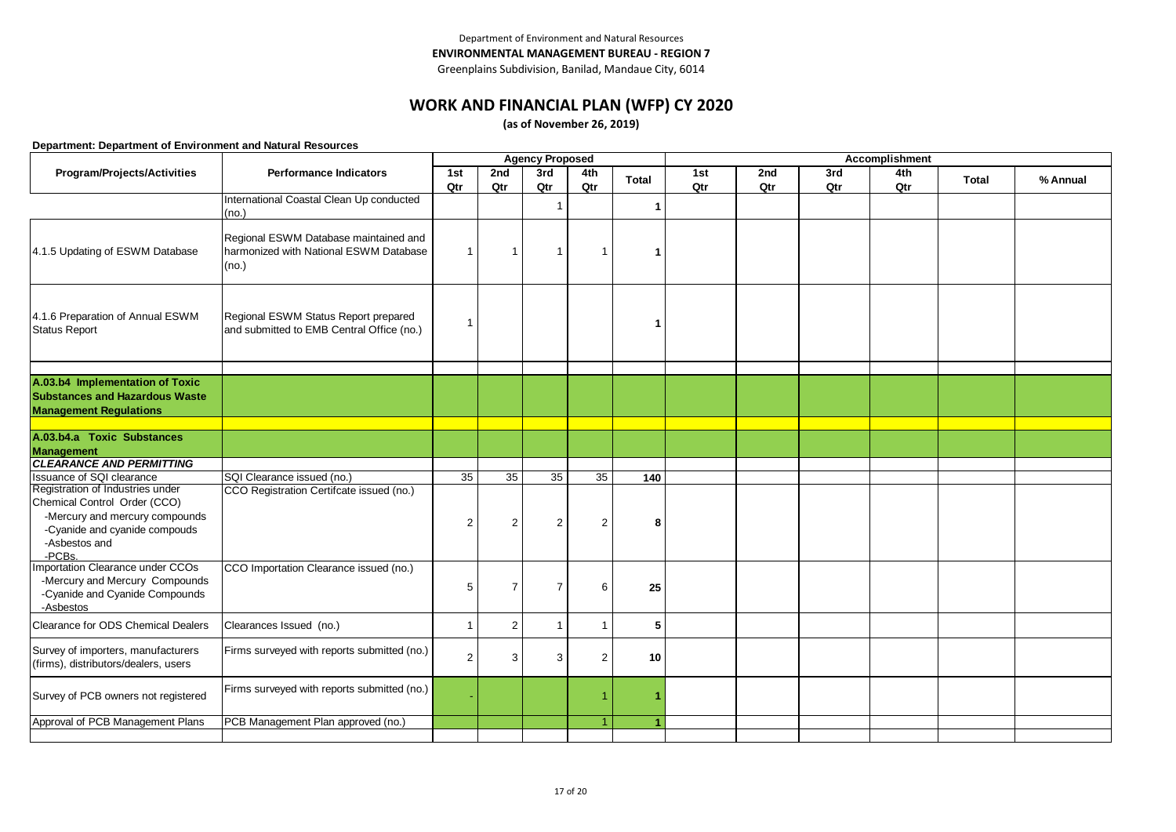# **WORK AND FINANCIAL PLAN (WFP) CY 2020**

**(as of November 26, 2019)**

|                                                                                                                   |                                                                                          |                |                | <b>Agency Proposed</b> |                         |              | Accomplishment |     |     |     |              |          |  |
|-------------------------------------------------------------------------------------------------------------------|------------------------------------------------------------------------------------------|----------------|----------------|------------------------|-------------------------|--------------|----------------|-----|-----|-----|--------------|----------|--|
| Program/Projects/Activities                                                                                       | <b>Performance Indicators</b>                                                            | 1st            | 2nd            | 3rd                    | 4th                     | <b>Total</b> | 1st            | 2nd | 3rd | 4th | <b>Total</b> | % Annual |  |
|                                                                                                                   |                                                                                          | Qtr            | Qtr            | Qtr                    | Qtr                     |              | Qtr            | Qtr | Qtr | Qtr |              |          |  |
|                                                                                                                   | International Coastal Clean Up conducted<br>(no.)                                        |                |                | $\overline{1}$         |                         | 1            |                |     |     |     |              |          |  |
| 4.1.5 Updating of ESWM Database                                                                                   | Regional ESWM Database maintained and<br>harmonized with National ESWM Database<br>(no.) | $\mathbf 1$    | -1             | $\overline{1}$         | -1                      |              |                |     |     |     |              |          |  |
| 4.1.6 Preparation of Annual ESWM<br><b>Status Report</b>                                                          | Regional ESWM Status Report prepared<br>and submitted to EMB Central Office (no.)        | 1              |                |                        |                         |              |                |     |     |     |              |          |  |
| A.03.b4 Implementation of Toxic<br><b>Substances and Hazardous Waste</b><br><b>Management Regulations</b>         |                                                                                          |                |                |                        |                         |              |                |     |     |     |              |          |  |
| A.03.b4.a Toxic Substances                                                                                        |                                                                                          |                |                |                        |                         |              |                |     |     |     |              |          |  |
| <b>Management</b>                                                                                                 |                                                                                          |                |                |                        |                         |              |                |     |     |     |              |          |  |
| <b>CLEARANCE AND PERMITTING</b>                                                                                   |                                                                                          |                |                |                        |                         |              |                |     |     |     |              |          |  |
| Issuance of SQI clearance                                                                                         | SQI Clearance issued (no.)                                                               | 35             | 35             | 35                     | 35                      | 140          |                |     |     |     |              |          |  |
| Registration of Industries under<br>Chemical Control Order (CCO)                                                  | CCO Registration Certifcate issued (no.)                                                 |                |                |                        |                         |              |                |     |     |     |              |          |  |
| -Mercury and mercury compounds<br>-Cyanide and cyanide compouds<br>-Asbestos and<br>-PCBs.                        |                                                                                          | $\overline{2}$ | $\overline{2}$ | 2                      | 2                       | 8            |                |     |     |     |              |          |  |
| Importation Clearance under CCOs<br>-Mercury and Mercury Compounds<br>-Cyanide and Cyanide Compounds<br>-Asbestos | CCO Importation Clearance issued (no.)                                                   | 5              | $\overline{7}$ | $\overline{7}$         | 6                       | 25           |                |     |     |     |              |          |  |
| Clearance for ODS Chemical Dealers                                                                                | Clearances Issued (no.)                                                                  | $\mathbf{1}$   | $\overline{2}$ | $\overline{1}$         | $\overline{\mathbf{1}}$ | 5            |                |     |     |     |              |          |  |
| Survey of importers, manufacturers<br>(firms), distributors/dealers, users                                        | Firms surveyed with reports submitted (no.)                                              | $\overline{2}$ | 3              | 3                      | 2                       | 10           |                |     |     |     |              |          |  |
| Survey of PCB owners not registered                                                                               | Firms surveyed with reports submitted (no.)                                              |                |                |                        | -1                      |              |                |     |     |     |              |          |  |
| Approval of PCB Management Plans                                                                                  | PCB Management Plan approved (no.)                                                       |                |                |                        | 4                       |              |                |     |     |     |              |          |  |
|                                                                                                                   |                                                                                          |                |                |                        |                         |              |                |     |     |     |              |          |  |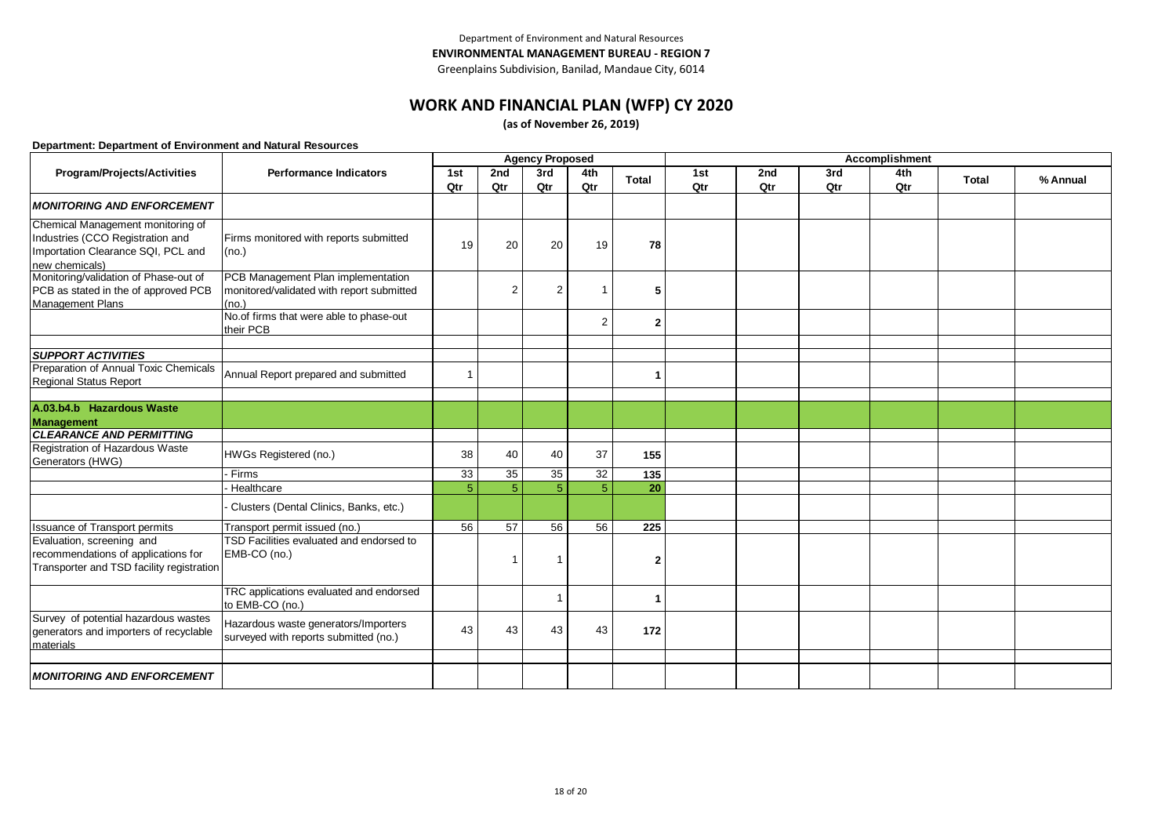Greenplains Subdivision, Banilad, Mandaue City, 6014

### **WORK AND FINANCIAL PLAN (WFP) CY 2020**

**(as of November 26, 2019)**

|                                                                                                                               |                                                                                          |                |                 | <b>Agency Proposed</b> |                |              | <b>Accomplishment</b> |     |     |     |              |          |  |
|-------------------------------------------------------------------------------------------------------------------------------|------------------------------------------------------------------------------------------|----------------|-----------------|------------------------|----------------|--------------|-----------------------|-----|-----|-----|--------------|----------|--|
| Program/Projects/Activities                                                                                                   | <b>Performance Indicators</b>                                                            | 1st            | 2nd             | 3rd                    | 4th            | <b>Total</b> | 1st                   | 2nd | 3rd | 4th | <b>Total</b> | % Annual |  |
|                                                                                                                               |                                                                                          | Qtr            | Qtr             | Qtr                    | Qtr            |              | Qtr                   | Qtr | Qtr | Qtr |              |          |  |
| <b>MONITORING AND ENFORCEMENT</b>                                                                                             |                                                                                          |                |                 |                        |                |              |                       |     |     |     |              |          |  |
| Chemical Management monitoring of<br>Industries (CCO Registration and<br>Importation Clearance SQI, PCL and<br>new chemicals) | Firms monitored with reports submitted<br>(no.)                                          | 19             | 20              | 20                     | 19             | 78           |                       |     |     |     |              |          |  |
| Monitoring/validation of Phase-out of<br>PCB as stated in the of approved PCB<br><b>Management Plans</b>                      | PCB Management Plan implementation<br>monitored/validated with report submitted<br>(no.) |                | $\overline{2}$  | $\overline{2}$         |                | 5            |                       |     |     |     |              |          |  |
|                                                                                                                               | No.of firms that were able to phase-out<br>their PCB                                     |                |                 |                        | $\overline{2}$ | 2            |                       |     |     |     |              |          |  |
| <b>SUPPORT ACTIVITIES</b>                                                                                                     |                                                                                          |                |                 |                        |                |              |                       |     |     |     |              |          |  |
| Preparation of Annual Toxic Chemicals<br><b>Regional Status Report</b>                                                        | Annual Report prepared and submitted                                                     | 1              |                 |                        |                |              |                       |     |     |     |              |          |  |
|                                                                                                                               |                                                                                          |                |                 |                        |                |              |                       |     |     |     |              |          |  |
| A.03.b4.b Hazardous Waste<br>Management                                                                                       |                                                                                          |                |                 |                        |                |              |                       |     |     |     |              |          |  |
| <b>CLEARANCE AND PERMITTING</b>                                                                                               |                                                                                          |                |                 |                        |                |              |                       |     |     |     |              |          |  |
| Registration of Hazardous Waste<br>Generators (HWG)                                                                           | HWGs Registered (no.)                                                                    | 38             | 40              | 40                     | 37             | 155          |                       |     |     |     |              |          |  |
|                                                                                                                               | - Firms                                                                                  | 33             | 35              | 35                     | 32             | 135          |                       |     |     |     |              |          |  |
|                                                                                                                               | Healthcare                                                                               | $\overline{5}$ | 5               | 5 <sup>5</sup>         | 5              | 20           |                       |     |     |     |              |          |  |
|                                                                                                                               | Clusters (Dental Clinics, Banks, etc.)                                                   |                |                 |                        |                |              |                       |     |     |     |              |          |  |
| <b>Issuance of Transport permits</b>                                                                                          | Transport permit issued (no.)                                                            | 56             | $\overline{57}$ | 56                     | 56             | 225          |                       |     |     |     |              |          |  |
| Evaluation, screening and<br>recommendations of applications for<br>Transporter and TSD facility registration                 | TSD Facilities evaluated and endorsed to<br>EMB-CO (no.)                                 |                | r.              | -1                     |                |              |                       |     |     |     |              |          |  |
|                                                                                                                               | TRC applications evaluated and endorsed<br>to EMB-CO (no.)                               |                |                 | -1                     |                |              |                       |     |     |     |              |          |  |
| Survey of potential hazardous wastes<br>generators and importers of recyclable<br>materials                                   | Hazardous waste generators/Importers<br>surveyed with reports submitted (no.)            | 43             | 43              | 43                     | 43             | 172          |                       |     |     |     |              |          |  |
|                                                                                                                               |                                                                                          |                |                 |                        |                |              |                       |     |     |     |              |          |  |
| <b>MONITORING AND ENFORCEMENT</b>                                                                                             |                                                                                          |                |                 |                        |                |              |                       |     |     |     |              |          |  |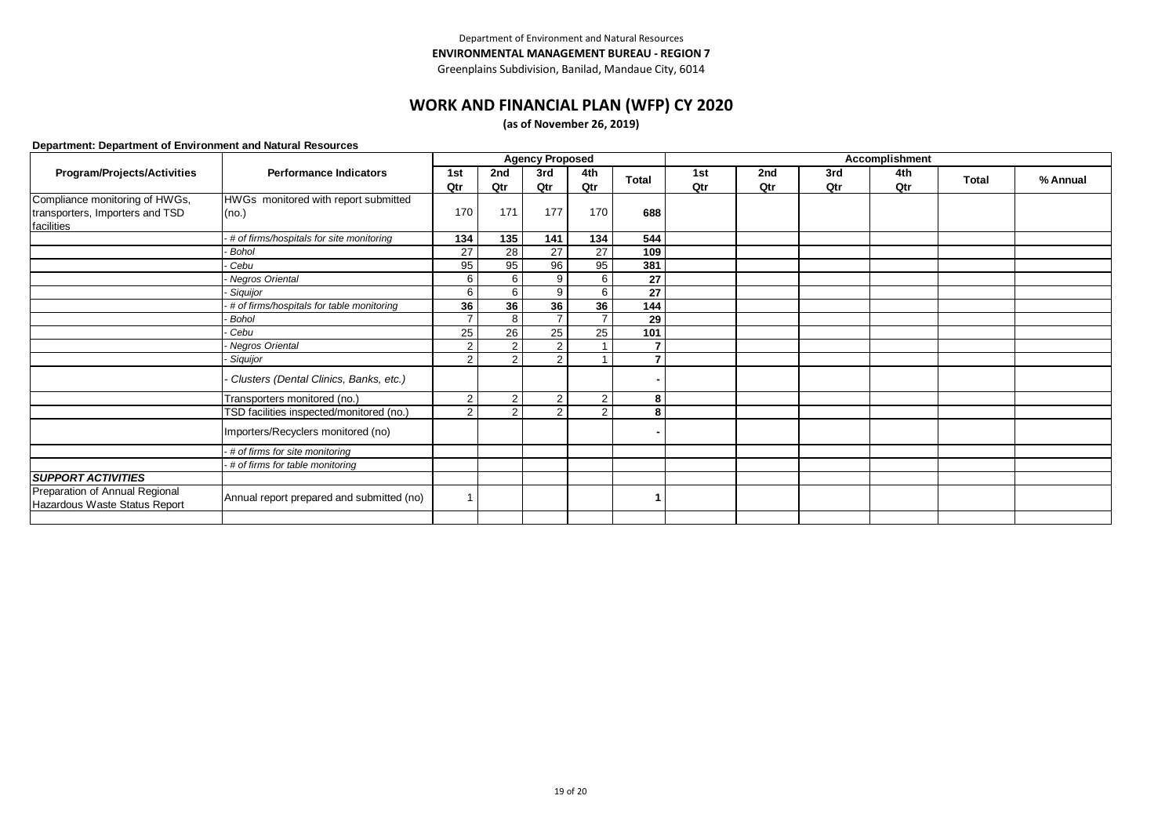Greenplains Subdivision, Banilad, Mandaue City, 6014

### **WORK AND FINANCIAL PLAN (WFP) CY 2020**

**(as of November 26, 2019)**

|                                                                 |                                           |                |                | <b>Agency Proposed</b> |                 |                | Accomplishment |     |     |     |              |          |  |
|-----------------------------------------------------------------|-------------------------------------------|----------------|----------------|------------------------|-----------------|----------------|----------------|-----|-----|-----|--------------|----------|--|
| Program/Projects/Activities                                     | <b>Performance Indicators</b>             | 1st            | 2nd            | 3rd                    | 4th             | <b>Total</b>   | 1st            | 2nd | 3rd | 4th | <b>Total</b> | % Annual |  |
|                                                                 |                                           | Qtr            | Qtr            | Qtr                    | Qtr             |                | Qtr            | Qtr | Qtr | Qtr |              |          |  |
| Compliance monitoring of HWGs,                                  | HWGs monitored with report submitted      |                |                |                        |                 |                |                |     |     |     |              |          |  |
| transporters, Importers and TSD                                 | (no.)                                     | 170            | 171            | 177                    | 170             | 688            |                |     |     |     |              |          |  |
| facilities                                                      |                                           |                |                |                        |                 |                |                |     |     |     |              |          |  |
|                                                                 | # of firms/hospitals for site monitoring  | 134            | 135            | 141                    | 134             | 544            |                |     |     |     |              |          |  |
|                                                                 | Bohol                                     | 27             | 28             | $\overline{27}$        | $\overline{27}$ | 109            |                |     |     |     |              |          |  |
|                                                                 | Cebu                                      | 95             | 95             | 96                     | 95              | 381            |                |     |     |     |              |          |  |
|                                                                 | - Negros Oriental                         | 6              | 6              | 9                      | 6               | 27             |                |     |     |     |              |          |  |
|                                                                 | Siquijor                                  | 6              | 6              | 9                      | 6               | 27             |                |     |     |     |              |          |  |
|                                                                 | # of firms/hospitals for table monitoring | 36             | 36             | 36                     | 36              | 144            |                |     |     |     |              |          |  |
|                                                                 | Bohol                                     | $\overline{ }$ | 8              | $\overline{7}$         |                 | 29             |                |     |     |     |              |          |  |
|                                                                 | Cebu                                      | 25             | 26             | 25                     | 25              | 101            |                |     |     |     |              |          |  |
|                                                                 | Negros Oriental                           | $\overline{2}$ | 2              | $\overline{2}$         |                 | $\overline{7}$ |                |     |     |     |              |          |  |
|                                                                 | Siquijor                                  | 2              | 2              | 2                      |                 | $\overline{ }$ |                |     |     |     |              |          |  |
|                                                                 | Clusters (Dental Clinics, Banks, etc.)    |                |                |                        |                 |                |                |     |     |     |              |          |  |
|                                                                 | Transporters monitored (no.)              | $\overline{2}$ | 2              | $\overline{2}$         | $\overline{2}$  | 8              |                |     |     |     |              |          |  |
|                                                                 | TSD facilities inspected/monitored (no.)  | $\overline{2}$ | $\overline{2}$ | 2                      | $\mathcal{P}$   | 8              |                |     |     |     |              |          |  |
|                                                                 | Importers/Recyclers monitored (no)        |                |                |                        |                 |                |                |     |     |     |              |          |  |
|                                                                 | - # of firms for site monitoring          |                |                |                        |                 |                |                |     |     |     |              |          |  |
|                                                                 | # of firms for table monitoring           |                |                |                        |                 |                |                |     |     |     |              |          |  |
| <b>SUPPORT ACTIVITIES</b>                                       |                                           |                |                |                        |                 |                |                |     |     |     |              |          |  |
| Preparation of Annual Regional<br>Hazardous Waste Status Report | Annual report prepared and submitted (no) |                |                |                        |                 |                |                |     |     |     |              |          |  |
|                                                                 |                                           |                |                |                        |                 |                |                |     |     |     |              |          |  |